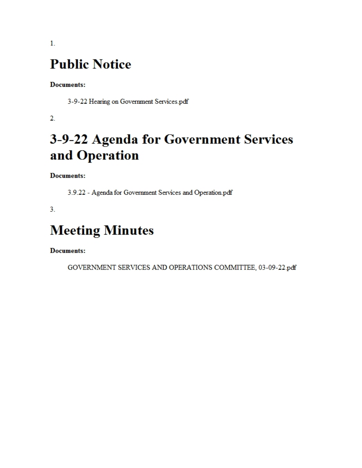# **Public Notice**

**Documents:** 

3-9-22 Hearing on Government Services.pdf

 $\overline{2}$ .

# 3-9-22 Agenda for Government Services and Operation

**Documents:** 

3.9.22 - Agenda for Government Services and Operation.pdf

 $3<sub>1</sub>$ 

# **Meeting Minutes**

**Documents:** 

GOVERNMENT SERVICES AND OPERATIONS COMMITTEE, 03-09-22.pdf

 $1<sub>1</sub>$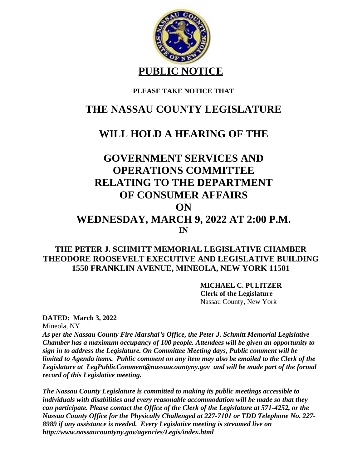

### **PLEASE TAKE NOTICE THAT**

## **THE NASSAU COUNTY LEGISLATURE**

### **WILL HOLD A HEARING OF THE**

## **GOVERNMENT SERVICES AND OPERATIONS COMMITTEE RELATING TO THE DEPARTMENT OF CONSUMER AFFAIRS ON WEDNESDAY, MARCH 9, 2022 AT 2:00 P.M. IN**

### **THE PETER J. SCHMITT MEMORIAL LEGISLATIVE CHAMBER THEODORE ROOSEVELT EXECUTIVE AND LEGISLATIVE BUILDING 1550 FRANKLIN AVENUE, MINEOLA, NEW YORK 11501**

#### **MICHAEL C. PULITZER**

 **Clerk of the Legislature** Nassau County, New York

**DATED: March 3, 2022**

Mineola, NY

*As per the Nassau County Fire Marshal's Office, the Peter J. Schmitt Memorial Legislative Chamber has a maximum occupancy of 100 people. Attendees will be given an opportunity to sign in to address the Legislature. On Committee Meeting days, Public comment will be limited to Agenda items. Public comment on any item may also be emailed to the Clerk of the Legislature at LegPublicComment@nassaucountyny.gov and will be made part of the formal record of this Legislative meeting.* 

*The Nassau County Legislature is committed to making its public meetings accessible to individuals with disabilities and every reasonable accommodation will be made so that they can participate. Please contact the Office of the Clerk of the Legislature at 571-4252, or the Nassau County Office for the Physically Challenged at 227-7101 or TDD Telephone No. 227- 8989 if any assistance is needed. Every Legislative meeting is streamed live on http://www.nassaucountyny.gov/agencies/Legis/index.html*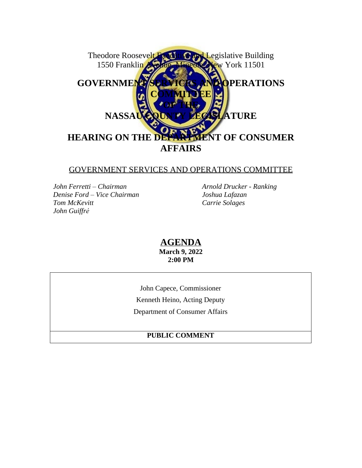

#### GOVERNMENT SERVICES AND OPERATIONS COMMITTEE

*John Ferretti – Chairman Arnold Drucker - Ranking Denise Ford – Vice Chairman Joshua Lafazan Tom McKevitt Carrie Solages John Guiffré*

**AGENDA March 9, 2022 2:00 PM**

John Capece, Commissioner Kenneth Heino, Acting Deputy Department of Consumer Affairs

#### **PUBLIC COMMENT**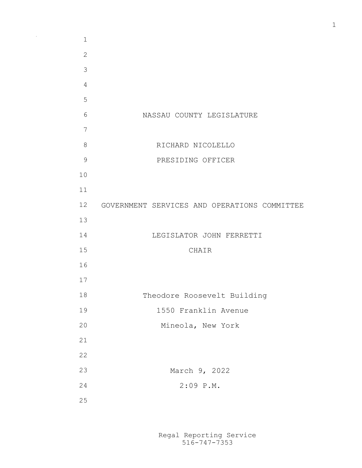NASSAU COUNTY LEGISLATURE RICHARD NICOLELLO PRESIDING OFFICER GOVERNMENT SERVICES AND OPERATIONS COMMITTEE LEGISLATOR JOHN FERRETTI CHAIR Theodore Roosevelt Building 1550 Franklin Avenue Mineola, New York March 9, 2022 2:09 P.M. 

 $\Delta\sim 1$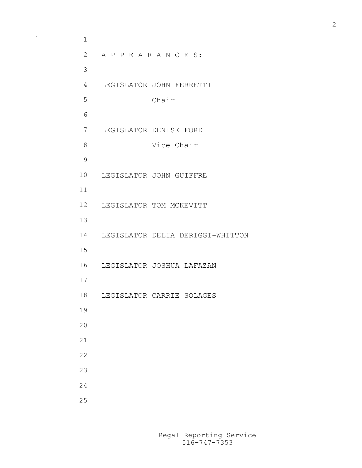A P P E A R A N C E S: LEGISLATOR JOHN FERRETTI Chair LEGISLATOR DENISE FORD Vice Chair LEGISLATOR JOHN GUIFFRE LEGISLATOR TOM MCKEVITT LEGISLATOR DELIA DERIGGI-WHITTON LEGISLATOR JOSHUA LAFAZAN LEGISLATOR CARRIE SOLAGES 

 $\sim$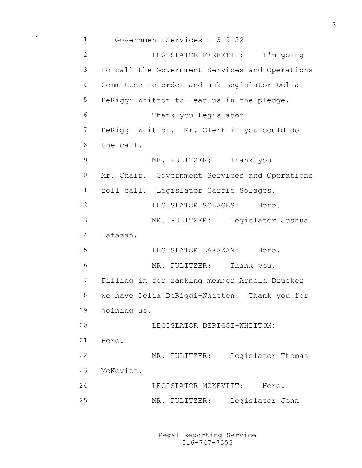Government Services - 3-9-22 LEGISLATOR FERRETTI: I'm going to call the Government Services and Operations Committee to order and ask Legislator Delia DeRiggi-Whitton to lead us in the pledge. Thank you Legislator DeRiggi-Whitton. Mr. Clerk if you could do the call. 9 MR. PULITZER: Thank you Mr. Chair. Government Services and Operations roll call. Legislator Carrie Solages. 12 LEGISLATOR SOLAGES: Here. MR. PULITZER: Legislator Joshua Lafazan. LEGISLATOR LAFAZAN: Here. 16 MR. PULITZER: Thank you. Filling in for ranking member Arnold Drucker we have Delia DeRiggi-Whitton. Thank you for joining us. LEGISLATOR DERIGGI-WHITTON: Here. MR. PULITZER: Legislator Thomas McKevitt. 24 LEGISLATOR MCKEVITT: Here. MR. PULITZER: Legislator John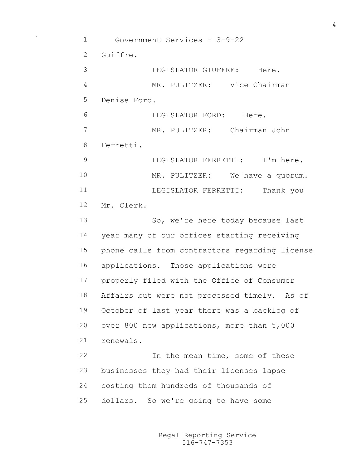Government Services - 3-9-22 Guiffre. LEGISLATOR GIUFFRE: Here. MR. PULITZER: Vice Chairman Denise Ford. LEGISLATOR FORD: Here. MR. PULITZER: Chairman John Ferretti. 9 LEGISLATOR FERRETTI: I'm here. MR. PULITZER: We have a quorum. LEGISLATOR FERRETTI: Thank you Mr. Clerk. 13 So, we're here today because last year many of our offices starting receiving phone calls from contractors regarding license applications. Those applications were properly filed with the Office of Consumer Affairs but were not processed timely. As of October of last year there was a backlog of over 800 new applications, more than 5,000 renewals. In the mean time, some of these businesses they had their licenses lapse costing them hundreds of thousands of dollars. So we're going to have some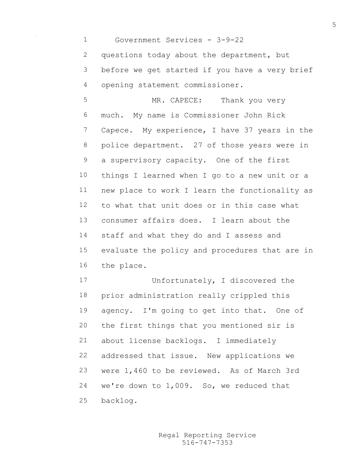Government Services - 3-9-22

2 questions today about the department, but before we get started if you have a very brief opening statement commissioner.

 MR. CAPECE: Thank you very much. My name is Commissioner John Rick Capece. My experience, I have 37 years in the police department. 27 of those years were in a supervisory capacity. One of the first things I learned when I go to a new unit or a new place to work I learn the functionality as to what that unit does or in this case what consumer affairs does. I learn about the staff and what they do and I assess and evaluate the policy and procedures that are in the place.

 Unfortunately, I discovered the prior administration really crippled this agency. I'm going to get into that. One of the first things that you mentioned sir is about license backlogs. I immediately addressed that issue. New applications we were 1,460 to be reviewed. As of March 3rd we're down to 1,009. So, we reduced that backlog.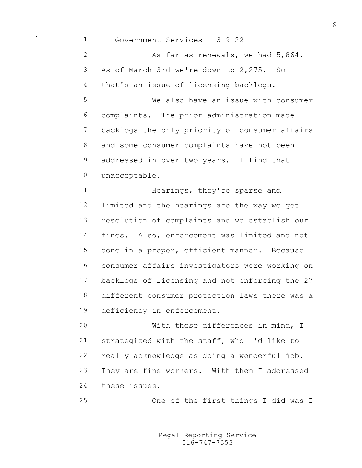Government Services - 3-9-22 2 As far as renewals, we had  $5,864$ . As of March 3rd we're down to 2,275. So that's an issue of licensing backlogs. We also have an issue with consumer complaints. The prior administration made backlogs the only priority of consumer affairs and some consumer complaints have not been addressed in over two years. I find that unacceptable. **Hearings, they're sparse and**  limited and the hearings are the way we get resolution of complaints and we establish our fines. Also, enforcement was limited and not done in a proper, efficient manner. Because consumer affairs investigators were working on backlogs of licensing and not enforcing the 27 different consumer protection laws there was a deficiency in enforcement. With these differences in mind, I strategized with the staff, who I'd like to really acknowledge as doing a wonderful job. They are fine workers. With them I addressed these issues. One of the first things I did was I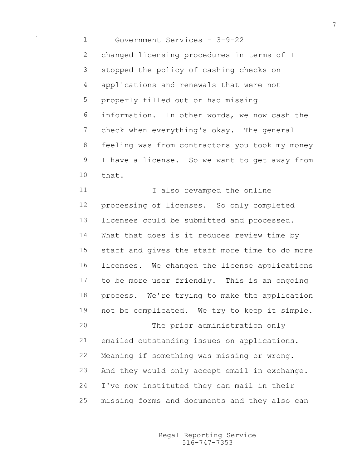Government Services - 3-9-22 changed licensing procedures in terms of I stopped the policy of cashing checks on applications and renewals that were not properly filled out or had missing information. In other words, we now cash the check when everything's okay. The general 8 feeling was from contractors you took my money I have a license. So we want to get away from that.

11 I also revamped the online processing of licenses. So only completed licenses could be submitted and processed. What that does is it reduces review time by staff and gives the staff more time to do more licenses. We changed the license applications to be more user friendly. This is an ongoing process. We're trying to make the application not be complicated. We try to keep it simple. The prior administration only emailed outstanding issues on applications. Meaning if something was missing or wrong. And they would only accept email in exchange. I've now instituted they can mail in their missing forms and documents and they also can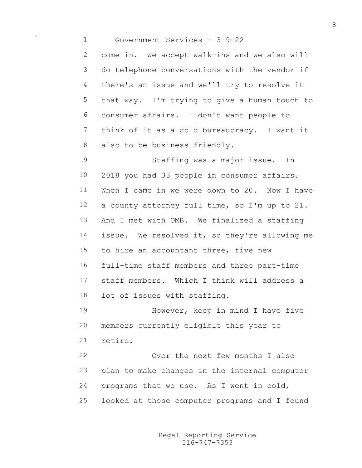Government Services - 3-9-22

 come in. We accept walk-ins and we also will do telephone conversations with the vendor if there's an issue and we'll try to resolve it that way. I'm trying to give a human touch to consumer affairs. I don't want people to think of it as a cold bureaucracy. I want it 8 also to be business friendly.

 Staffing was a major issue. In 2018 you had 33 people in consumer affairs. When I came in we were down to 20. Now I have a county attorney full time, so I'm up to 21. And I met with OMB. We finalized a staffing issue. We resolved it, so they're allowing me to hire an accountant three, five new full-time staff members and three part-time staff members. Which I think will address a lot of issues with staffing.

 However, keep in mind I have five members currently eligible this year to retire.

 Over the next few months I also plan to make changes in the internal computer programs that we use. As I went in cold, looked at those computer programs and I found

> 516-747-7353 Regal Reporting Service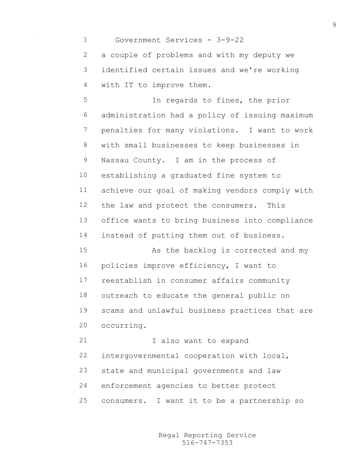Government Services - 3-9-22 a couple of problems and with my deputy we identified certain issues and we're working with IT to improve them. In regards to fines, the prior administration had a policy of issuing maximum penalties for many violations. I want to work with small businesses to keep businesses in Nassau County. I am in the process of establishing a graduated fine system to achieve our goal of making vendors comply with the law and protect the consumers. This office wants to bring business into compliance instead of putting them out of business. 15 As the backlog is corrected and my policies improve efficiency, I want to reestablish in consumer affairs community outreach to educate the general public on scams and unlawful business practices that are occurring. I also want to expand intergovernmental cooperation with local, state and municipal governments and law enforcement agencies to better protect consumers. I want it to be a partnership so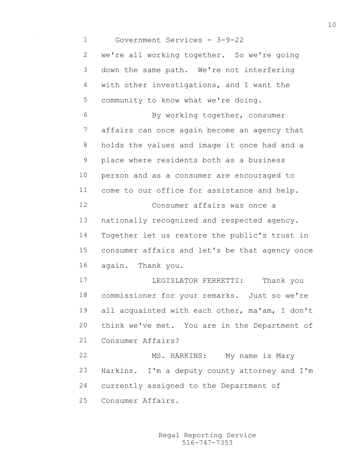Government Services - 3-9-22 we're all working together. So we're going down the same path. We're not interfering with other investigations, and I want the community to know what we're doing. By working together, consumer affairs can once again become an agency that holds the values and image it once had and a place where residents both as a business person and as a consumer are encouraged to come to our office for assistance and help. Consumer affairs was once a nationally recognized and respected agency. Together let us restore the public's trust in consumer affairs and let's be that agency once again. Thank you. LEGISLATOR FERRETTI: Thank you commissioner for your remarks. Just so we're all acquainted with each other, ma'am, I don't think we've met. You are in the Department of Consumer Affairs? 22 MS. HARKINS: My name is Mary Harkins. I'm a deputy county attorney and I'm currently assigned to the Department of Consumer Affairs.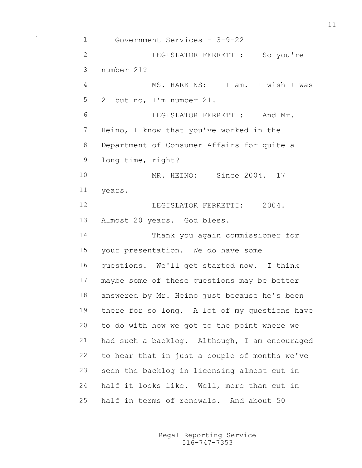Government Services - 3-9-22 LEGISLATOR FERRETTI: So you're number 21? MS. HARKINS: I am. I wish I was 21 but no, I'm number 21. LEGISLATOR FERRETTI: And Mr. Heino, I know that you've worked in the Department of Consumer Affairs for quite a long time, right? MR. HEINO: Since 2004. 17 years. 12 LEGISLATOR FERRETTI: 2004. Almost 20 years. God bless. Thank you again commissioner for your presentation. We do have some questions. We'll get started now. I think maybe some of these questions may be better answered by Mr. Heino just because he's been there for so long. A lot of my questions have to do with how we got to the point where we had such a backlog. Although, I am encouraged to hear that in just a couple of months we've seen the backlog in licensing almost cut in half it looks like. Well, more than cut in half in terms of renewals. And about 50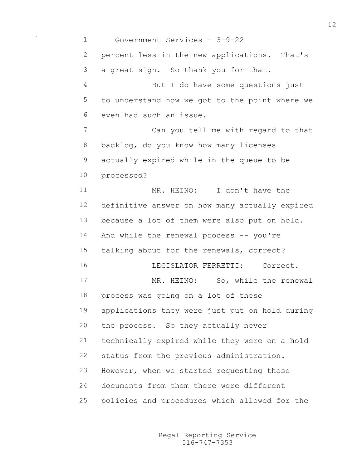Government Services - 3-9-22 percent less in the new applications. That's a great sign. So thank you for that. But I do have some questions just to understand how we got to the point where we even had such an issue. Can you tell me with regard to that backlog, do you know how many licenses actually expired while in the queue to be processed? MR. HEINO: I don't have the definitive answer on how many actually expired because a lot of them were also put on hold. And while the renewal process -- you're talking about for the renewals, correct? LEGISLATOR FERRETTI: Correct. 17 MR. HEINO: So, while the renewal process was going on a lot of these applications they were just put on hold during the process. So they actually never technically expired while they were on a hold status from the previous administration. However, when we started requesting these documents from them there were different policies and procedures which allowed for the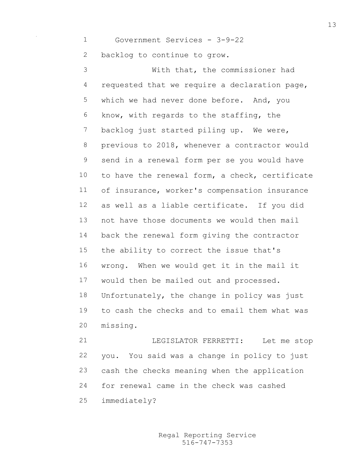Government Services - 3-9-22

backlog to continue to grow.

 With that, the commissioner had requested that we require a declaration page, which we had never done before. And, you know, with regards to the staffing, the backlog just started piling up. We were, previous to 2018, whenever a contractor would send in a renewal form per se you would have to have the renewal form, a check, certificate of insurance, worker's compensation insurance as well as a liable certificate. If you did not have those documents we would then mail back the renewal form giving the contractor the ability to correct the issue that's wrong. When we would get it in the mail it would then be mailed out and processed. Unfortunately, the change in policy was just to cash the checks and to email them what was missing.

 LEGISLATOR FERRETTI: Let me stop you. You said was a change in policy to just cash the checks meaning when the application for renewal came in the check was cashed immediately?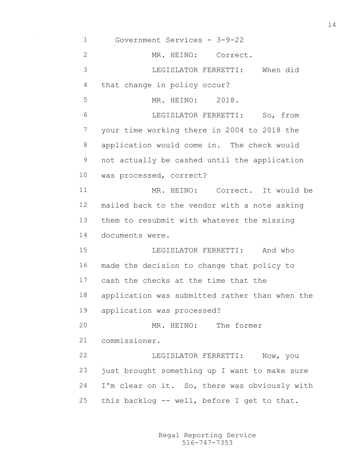Government Services - 3-9-22 MR. HEINO: Correct. LEGISLATOR FERRETTI: When did that change in policy occur? MR. HEINO: 2018. LEGISLATOR FERRETTI: So, from your time working there in 2004 to 2018 the application would come in. The check would not actually be cashed until the application was processed, correct? MR. HEINO: Correct. It would be mailed back to the vendor with a note asking them to resubmit with whatever the missing documents were. LEGISLATOR FERRETTI: And who made the decision to change that policy to cash the checks at the time that the application was submitted rather than when the application was processed? MR. HEINO: The former commissioner. LEGISLATOR FERRETTI: Now, you just brought something up I want to make sure I'm clear on it. So, there was obviously with this backlog -- well, before I get to that.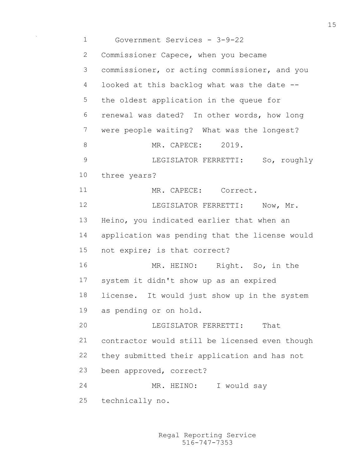Government Services - 3-9-22 Commissioner Capece, when you became commissioner, or acting commissioner, and you looked at this backlog what was the date -- the oldest application in the queue for renewal was dated? In other words, how long were people waiting? What was the longest? 8 MR. CAPECE: 2019. LEGISLATOR FERRETTI: So, roughly three years? 11 MR. CAPECE: Correct. 12 LEGISLATOR FERRETTI: Now, Mr. Heino, you indicated earlier that when an application was pending that the license would not expire; is that correct? 16 MR. HEINO: Right. So, in the system it didn't show up as an expired license. It would just show up in the system as pending or on hold. LEGISLATOR FERRETTI: That contractor would still be licensed even though they submitted their application and has not been approved, correct? 24 MR. HEINO: I would say technically no.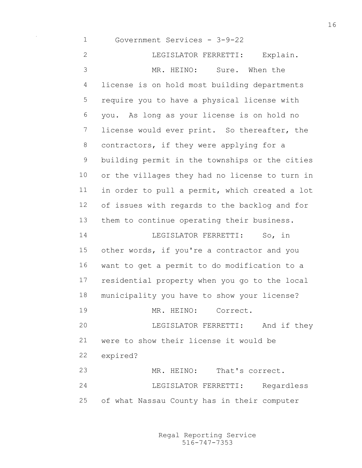Government Services - 3-9-22 LEGISLATOR FERRETTI: Explain. MR. HEINO: Sure. When the license is on hold most building departments require you to have a physical license with you. As long as your license is on hold no license would ever print. So thereafter, the 8 contractors, if they were applying for a building permit in the townships or the cities or the villages they had no license to turn in in order to pull a permit, which created a lot of issues with regards to the backlog and for them to continue operating their business. LEGISLATOR FERRETTI: So, in other words, if you're a contractor and you want to get a permit to do modification to a residential property when you go to the local municipality you have to show your license? MR. HEINO: Correct. LEGISLATOR FERRETTI: And if they were to show their license it would be expired? MR. HEINO: That's correct. LEGISLATOR FERRETTI: Regardless of what Nassau County has in their computer

> 516-747-7353 Regal Reporting Service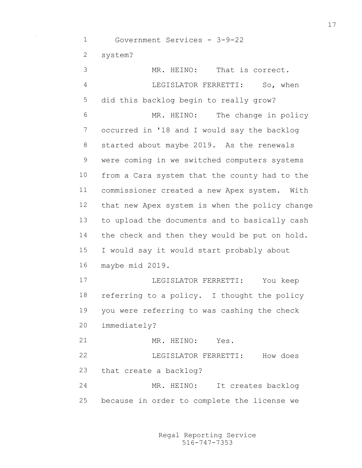Government Services - 3-9-22 system?

 MR. HEINO: That is correct. LEGISLATOR FERRETTI: So, when did this backlog begin to really grow? MR. HEINO: The change in policy occurred in '18 and I would say the backlog started about maybe 2019. As the renewals were coming in we switched computers systems from a Cara system that the county had to the commissioner created a new Apex system. With that new Apex system is when the policy change to upload the documents and to basically cash 14 the check and then they would be put on hold. I would say it would start probably about maybe mid 2019. LEGISLATOR FERRETTI: You keep referring to a policy. I thought the policy you were referring to was cashing the check immediately? MR. HEINO: Yes. LEGISLATOR FERRETTI: How does that create a backlog? MR. HEINO: It creates backlog because in order to complete the license we

> 516-747-7353 Regal Reporting Service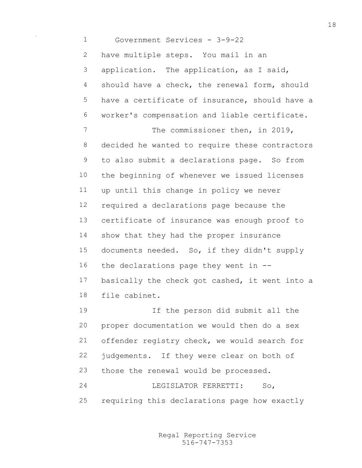Government Services - 3-9-22 have multiple steps. You mail in an application. The application, as I said, should have a check, the renewal form, should have a certificate of insurance, should have a worker's compensation and liable certificate. 7 The commissioner then, in 2019, decided he wanted to require these contractors to also submit a declarations page. So from the beginning of whenever we issued licenses up until this change in policy we never required a declarations page because the certificate of insurance was enough proof to show that they had the proper insurance documents needed. So, if they didn't supply 16 the declarations page they went in  $-$ - basically the check got cashed, it went into a file cabinet. If the person did submit all the proper documentation we would then do a sex offender registry check, we would search for judgements. If they were clear on both of those the renewal would be processed. LEGISLATOR FERRETTI: So, requiring this declarations page how exactly

> 516-747-7353 Regal Reporting Service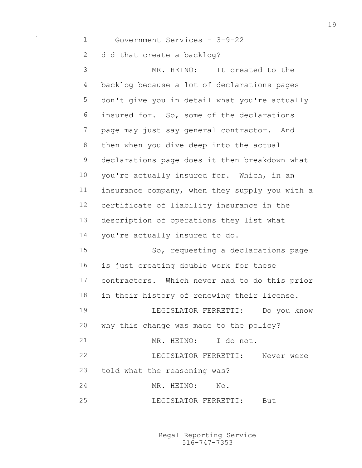Government Services - 3-9-22 did that create a backlog? MR. HEINO: It created to the backlog because a lot of declarations pages don't give you in detail what you're actually insured for. So, some of the declarations page may just say general contractor. And then when you dive deep into the actual declarations page does it then breakdown what 10 you're actually insured for. Which, in an insurance company, when they supply you with a certificate of liability insurance in the description of operations they list what you're actually insured to do. So, requesting a declarations page is just creating double work for these contractors. Which never had to do this prior in their history of renewing their license. LEGISLATOR FERRETTI: Do you know why this change was made to the policy? MR. HEINO: I do not. LEGISLATOR FERRETTI: Never were told what the reasoning was? MR. HEINO: No. LEGISLATOR FERRETTI: But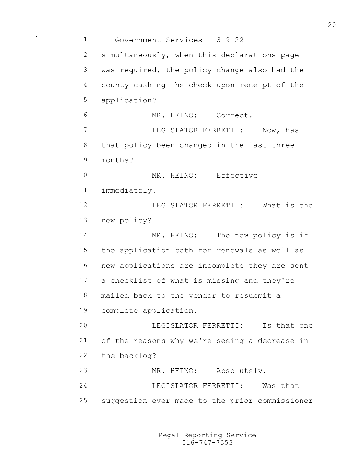Government Services - 3-9-22 simultaneously, when this declarations page was required, the policy change also had the county cashing the check upon receipt of the application? MR. HEINO: Correct. LEGISLATOR FERRETTI: Now, has that policy been changed in the last three months? 10 MR. HEINO: Effective immediately. LEGISLATOR FERRETTI: What is the new policy? 14 MR. HEINO: The new policy is if the application both for renewals as well as new applications are incomplete they are sent a checklist of what is missing and they're mailed back to the vendor to resubmit a complete application. LEGISLATOR FERRETTI: Is that one of the reasons why we're seeing a decrease in the backlog? MR. HEINO: Absolutely. LEGISLATOR FERRETTI: Was that suggestion ever made to the prior commissioner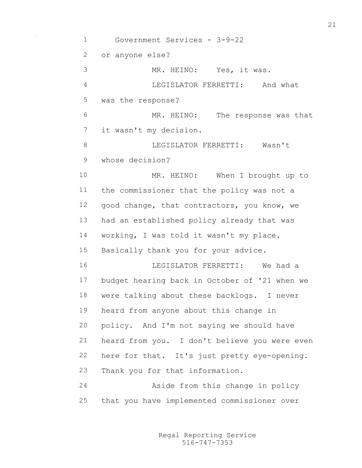Government Services - 3-9-22 or anyone else? MR. HEINO: Yes, it was. LEGISLATOR FERRETTI: And what was the response? MR. HEINO: The response was that it wasn't my decision. **I.E.GT.ST.ATOR FERRETTI:** Wasn't whose decision? MR. HEINO: When I brought up to the commissioner that the policy was not a good change, that contractors, you know, we had an established policy already that was working, I was told it wasn't my place. Basically thank you for your advice. LEGISLATOR FERRETTI: We had a budget hearing back in October of '21 when we were talking about these backlogs. I never heard from anyone about this change in policy. And I'm not saying we should have heard from you. I don't believe you were even here for that. It's just pretty eye-opening. Thank you for that information. Aside from this change in policy that you have implemented commissioner over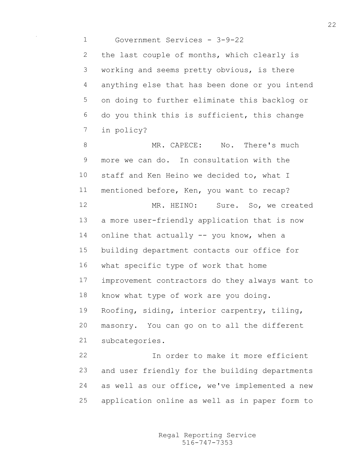Government Services - 3-9-22

2 the last couple of months, which clearly is working and seems pretty obvious, is there anything else that has been done or you intend on doing to further eliminate this backlog or do you think this is sufficient, this change in policy?

8 MR. CAPECE: No. There's much more we can do. In consultation with the 10 staff and Ken Heino we decided to, what I mentioned before, Ken, you want to recap? MR. HEINO: Sure. So, we created a more user-friendly application that is now online that actually -- you know, when a building department contacts our office for what specific type of work that home improvement contractors do they always want to know what type of work are you doing. Roofing, siding, interior carpentry, tiling, masonry. You can go on to all the different subcategories. In order to make it more efficient

 and user friendly for the building departments as well as our office, we've implemented a new application online as well as in paper form to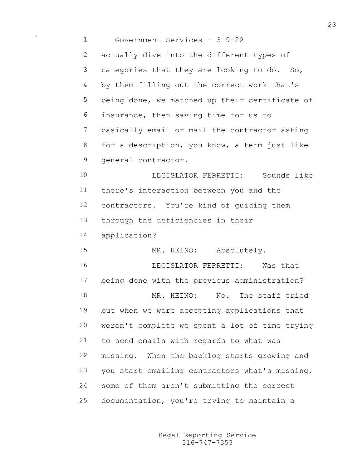| $\mathbf 1$    | Government Services - 3-9-22                   |
|----------------|------------------------------------------------|
| $\mathbf{2}$   | actually dive into the different types of      |
| $\mathfrak{Z}$ | categories that they are looking to do. So,    |
| 4              | by them filling out the correct work that's    |
| 5              | being done, we matched up their certificate of |
| 6              | insurance, then saving time for us to          |
| $\overline{7}$ | basically email or mail the contractor asking  |
| $\,8\,$        | for a description, you know, a term just like  |
| $\mathsf 9$    | general contractor.                            |
| 10             | LEGISLATOR FERRETTI: Sounds like               |
| 11             | there's interaction between you and the        |
| 12             | contractors. You're kind of guiding them       |
| 13             | through the deficiencies in their              |
| 14             | application?                                   |
| 15             | MR. HEINO: Absolutely.                         |
| 16             | LEGISLATOR FERRETTI: Was that                  |
| 17             | being done with the previous administration?   |
| 18             | MR. HEINO: No. The staff tried                 |
| 19             | but when we were accepting applications that   |
| 20             | weren't complete we spent a lot of time trying |
| 21             | to send emails with regards to what was        |
| 22             | missing. When the backlog starts growing and   |
| 23             | you start emailing contractors what's missing, |
| 24             | some of them aren't submitting the correct     |
| 25             | documentation, you're trying to maintain a     |

 $\sim 10^{-10}$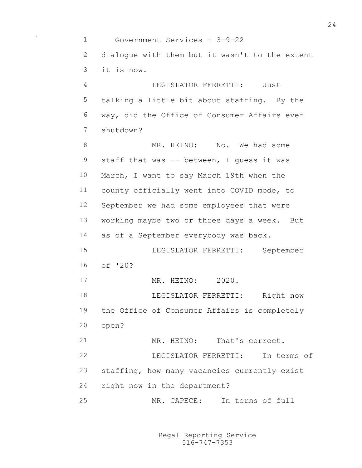Government Services - 3-9-22 dialogue with them but it wasn't to the extent it is now. LEGISLATOR FERRETTI: Just talking a little bit about staffing. By the way, did the Office of Consumer Affairs ever shutdown? MR. HEINO: No. We had some 9 staff that was -- between, I guess it was March, I want to say March 19th when the county officially went into COVID mode, to September we had some employees that were working maybe two or three days a week. But as of a September everybody was back. LEGISLATOR FERRETTI: September of '20? MR. HEINO: 2020. LEGISLATOR FERRETTI: Right now the Office of Consumer Affairs is completely open? MR. HEINO: That's correct. LEGISLATOR FERRETTI: In terms of staffing, how many vacancies currently exist right now in the department? MR. CAPECE: In terms of full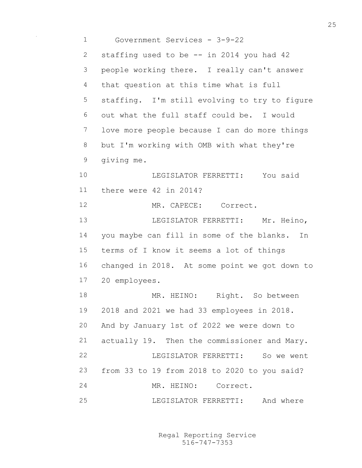Government Services - 3-9-22 staffing used to be -- in 2014 you had 42 people working there. I really can't answer that question at this time what is full staffing. I'm still evolving to try to figure out what the full staff could be. I would love more people because I can do more things but I'm working with OMB with what they're giving me. LEGISLATOR FERRETTI: You said there were 42 in 2014? MR. CAPECE: Correct. **LEGISLATOR FERRETTI:** Mr. Heino, you maybe can fill in some of the blanks. In terms of I know it seems a lot of things changed in 2018. At some point we got down to 20 employees. 18 MR. HEINO: Right. So between 2018 and 2021 we had 33 employees in 2018. And by January 1st of 2022 we were down to actually 19. Then the commissioner and Mary. LEGISLATOR FERRETTI: So we went from 33 to 19 from 2018 to 2020 to you said? MR. HEINO: Correct. LEGISLATOR FERRETTI: And where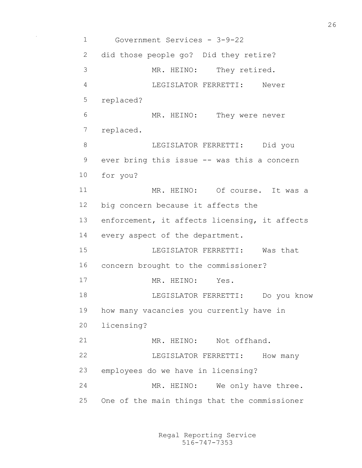Government Services - 3-9-22 did those people go? Did they retire? MR. HEINO: They retired. LEGISLATOR FERRETTI: Never replaced? MR. HEINO: They were never replaced. LEGISLATOR FERRETTI: Did you ever bring this issue -- was this a concern for you? 11 MR. HEINO: Of course. It was a big concern because it affects the enforcement, it affects licensing, it affects every aspect of the department. LEGISLATOR FERRETTI: Was that concern brought to the commissioner? 17 MR. HEINO: Yes. LEGISLATOR FERRETTI: Do you know how many vacancies you currently have in licensing? 21 MR. HEINO: Not offhand. 22 LEGISLATOR FERRETTI: How many employees do we have in licensing? MR. HEINO: We only have three. One of the main things that the commissioner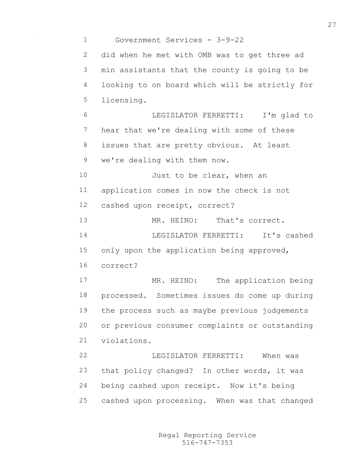Government Services - 3-9-22 did when he met with OMB was to get three ad min assistants that the county is going to be looking to on board which will be strictly for licensing. LEGISLATOR FERRETTI: I'm glad to hear that we're dealing with some of these 8 issues that are pretty obvious. At least we're dealing with them now. 10 Just to be clear, when an application comes in now the check is not cashed upon receipt, correct? MR. HEINO: That's correct. LEGISLATOR FERRETTI: It's cashed 15 only upon the application being approved, correct? 17 MR. HEINO: The application being processed. Sometimes issues do come up during the process such as maybe previous judgements or previous consumer complaints or outstanding violations. LEGISLATOR FERRETTI: When was that policy changed? In other words, it was being cashed upon receipt. Now it's being cashed upon processing. When was that changed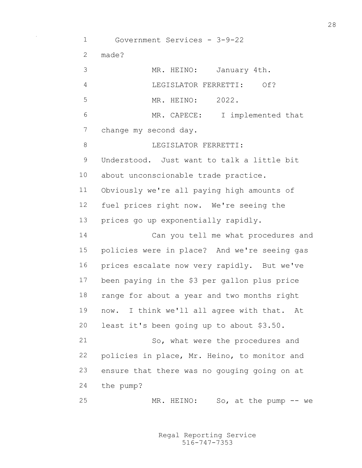Government Services - 3-9-22 made? MR. HEINO: January 4th. LEGISLATOR FERRETTI: Of? MR. HEINO: 2022. MR. CAPECE: I implemented that change my second day. 8 LEGISLATOR FERRETTI: Understood. Just want to talk a little bit about unconscionable trade practice. Obviously we're all paying high amounts of fuel prices right now. We're seeing the prices go up exponentially rapidly. Can you tell me what procedures and policies were in place? And we're seeing gas prices escalate now very rapidly. But we've been paying in the \$3 per gallon plus price range for about a year and two months right now. I think we'll all agree with that. At least it's been going up to about \$3.50. So, what were the procedures and policies in place, Mr. Heino, to monitor and ensure that there was no gouging going on at the pump? MR. HEINO: So, at the pump -- we

> 516-747-7353 Regal Reporting Service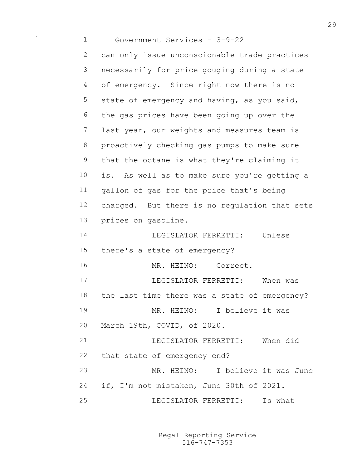Government Services - 3-9-22 can only issue unconscionable trade practices necessarily for price gouging during a state of emergency. Since right now there is no state of emergency and having, as you said, the gas prices have been going up over the last year, our weights and measures team is proactively checking gas pumps to make sure that the octane is what they're claiming it is. As well as to make sure you're getting a gallon of gas for the price that's being charged. But there is no regulation that sets prices on gasoline. LEGISLATOR FERRETTI: Unless there's a state of emergency? MR. HEINO: Correct. LEGISLATOR FERRETTI: When was the last time there was a state of emergency? MR. HEINO: I believe it was March 19th, COVID, of 2020. LEGISLATOR FERRETTI: When did that state of emergency end? MR. HEINO: I believe it was June if, I'm not mistaken, June 30th of 2021. LEGISLATOR FERRETTI: Is what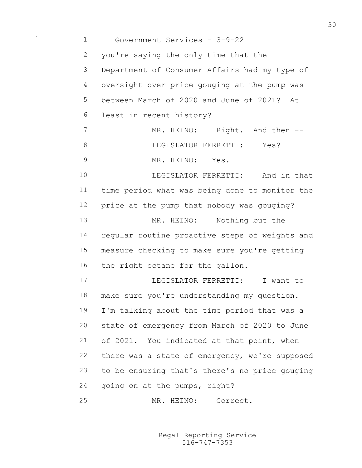Government Services - 3-9-22 you're saying the only time that the Department of Consumer Affairs had my type of oversight over price gouging at the pump was between March of 2020 and June of 2021? At least in recent history? 7 MR. HEINO: Right. And then --8 LEGISLATOR FERRETTI: Yes? MR. HEINO: Yes. LEGISLATOR FERRETTI: And in that time period what was being done to monitor the price at the pump that nobody was gouging? MR. HEINO: Nothing but the regular routine proactive steps of weights and measure checking to make sure you're getting the right octane for the gallon. LEGISLATOR FERRETTI: I want to make sure you're understanding my question. I'm talking about the time period that was a state of emergency from March of 2020 to June of 2021. You indicated at that point, when there was a state of emergency, we're supposed to be ensuring that's there's no price gouging going on at the pumps, right? MR. HEINO: Correct.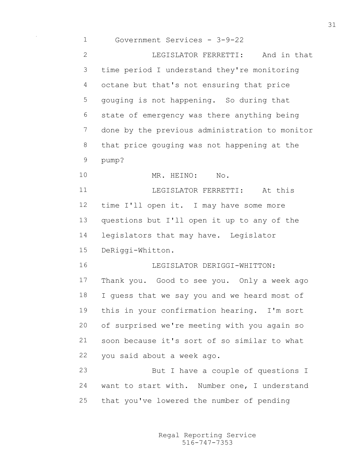| $\mathbf 1$  | Government Services - 3-9-22                   |
|--------------|------------------------------------------------|
| $\mathbf{2}$ | LEGISLATOR FERRETTI:<br>And in that            |
| 3            | time period I understand they're monitoring    |
| 4            | octane but that's not ensuring that price      |
| 5            | gouging is not happening. So during that       |
| 6            | state of emergency was there anything being    |
| 7            | done by the previous administration to monitor |
| $8\,$        | that price gouging was not happening at the    |
| 9            | pump?                                          |
| 10           | MR. HEINO:<br>No.                              |
| 11           | LEGISLATOR FERRETTI:<br>At this                |
| 12           | time I'll open it. I may have some more        |
| 13           | questions but I'll open it up to any of the    |
| 14           | legislators that may have. Legislator          |
| 15           | DeRiggi-Whitton.                               |
| 16           | LEGISLATOR DERIGGI-WHITTON:                    |
| 17           | Thank you. Good to see you. Only a week ago    |
| 18           | I guess that we say you and we heard most of   |
| 19           | this in your confirmation hearing. I'm sort    |
| 20           | of surprised we're meeting with you again so   |
| 21           | soon because it's sort of so similar to what   |
| 22           | you said about a week ago.                     |
| 23           | But I have a couple of questions I             |
| 24           | want to start with. Number one, I understand   |
| 25           | that you've lowered the number of pending      |

 $\sim 0.01$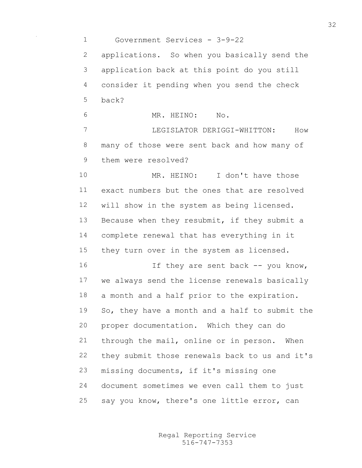Government Services - 3-9-22 applications. So when you basically send the application back at this point do you still consider it pending when you send the check back? MR. HEINO: No. LEGISLATOR DERIGGI-WHITTON: How many of those were sent back and how many of them were resolved? 10 MR. HEINO: I don't have those exact numbers but the ones that are resolved will show in the system as being licensed. Because when they resubmit, if they submit a complete renewal that has everything in it 15 they turn over in the system as licensed. 16 If they are sent back -- you know, we always send the license renewals basically a month and a half prior to the expiration. So, they have a month and a half to submit the proper documentation. Which they can do through the mail, online or in person. When they submit those renewals back to us and it's missing documents, if it's missing one document sometimes we even call them to just say you know, there's one little error, can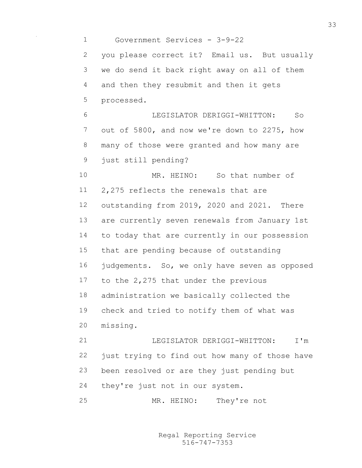Government Services - 3-9-22 you please correct it? Email us. But usually we do send it back right away on all of them and then they resubmit and then it gets processed. LEGISLATOR DERIGGI-WHITTON: So out of 5800, and now we're down to 2275, how many of those were granted and how many are just still pending? MR. HEINO: So that number of 2,275 reflects the renewals that are outstanding from 2019, 2020 and 2021. There are currently seven renewals from January 1st to today that are currently in our possession that are pending because of outstanding judgements. So, we only have seven as opposed to the 2,275 that under the previous administration we basically collected the check and tried to notify them of what was missing. LEGISLATOR DERIGGI-WHITTON: I'm just trying to find out how many of those have been resolved or are they just pending but

they're just not in our system.

MR. HEINO: They're not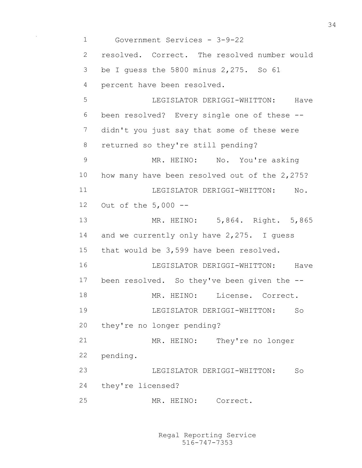Government Services - 3-9-22 resolved. Correct. The resolved number would be I guess the 5800 minus 2,275. So 61 percent have been resolved. LEGISLATOR DERIGGI-WHITTON: Have been resolved? Every single one of these -- didn't you just say that some of these were returned so they're still pending? 9 MR. HEINO: No. You're asking how many have been resolved out of the 2,275? 11 LEGISLATOR DERIGGI-WHITTON: No. Out of the 5,000 -- MR. HEINO: 5,864. Right. 5,865 14 and we currently only have 2,275. I quess that would be 3,599 have been resolved. LEGISLATOR DERIGGI-WHITTON: Have been resolved. So they've been given the -- 18 MR. HEINO: License. Correct. LEGISLATOR DERIGGI-WHITTON: So they're no longer pending? MR. HEINO: They're no longer pending. LEGISLATOR DERIGGI-WHITTON: So they're licensed? MR. HEINO: Correct.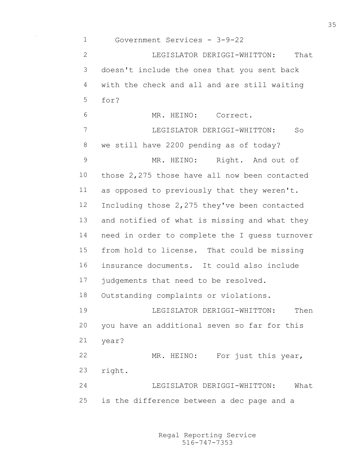Government Services - 3-9-22 LEGISLATOR DERIGGI-WHITTON: That doesn't include the ones that you sent back with the check and all and are still waiting for? MR. HEINO: Correct. LEGISLATOR DERIGGI-WHITTON: So we still have 2200 pending as of today? 9 MR. HEINO: Right. And out of those 2,275 those have all now been contacted as opposed to previously that they weren't. Including those 2,275 they've been contacted and notified of what is missing and what they need in order to complete the I guess turnover from hold to license. That could be missing insurance documents. It could also include 17 judgements that need to be resolved. Outstanding complaints or violations. LEGISLATOR DERIGGI-WHITTON: Then you have an additional seven so far for this year? MR. HEINO: For just this year, right. LEGISLATOR DERIGGI-WHITTON: What is the difference between a dec page and a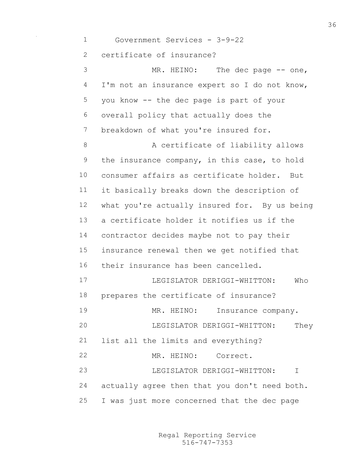Government Services - 3-9-22 certificate of insurance? 3 MR. HEINO: The dec page -- one, I'm not an insurance expert so I do not know, you know -- the dec page is part of your overall policy that actually does the breakdown of what you're insured for. 8 A certificate of liability allows the insurance company, in this case, to hold consumer affairs as certificate holder. But it basically breaks down the description of what you're actually insured for. By us being a certificate holder it notifies us if the contractor decides maybe not to pay their insurance renewal then we get notified that their insurance has been cancelled. LEGISLATOR DERIGGI-WHITTON: Who prepares the certificate of insurance? 19 MR. HEINO: Insurance company. LEGISLATOR DERIGGI-WHITTON: They list all the limits and everything? MR. HEINO: Correct. LEGISLATOR DERIGGI-WHITTON: I actually agree then that you don't need both. I was just more concerned that the dec page

> 516-747-7353 Regal Reporting Service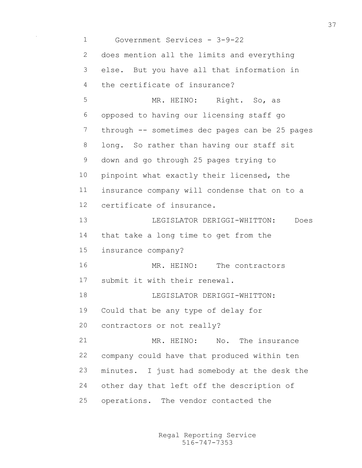Government Services - 3-9-22 does mention all the limits and everything else. But you have all that information in the certificate of insurance? MR. HEINO: Right. So, as opposed to having our licensing staff go through -- sometimes dec pages can be 25 pages long. So rather than having our staff sit down and go through 25 pages trying to 10 pinpoint what exactly their licensed, the insurance company will condense that on to a certificate of insurance. LEGISLATOR DERIGGI-WHITTON: Does that take a long time to get from the insurance company? MR. HEINO: The contractors submit it with their renewal. LEGISLATOR DERIGGI-WHITTON: Could that be any type of delay for contractors or not really? MR. HEINO: No. The insurance company could have that produced within ten minutes. I just had somebody at the desk the other day that left off the description of operations. The vendor contacted the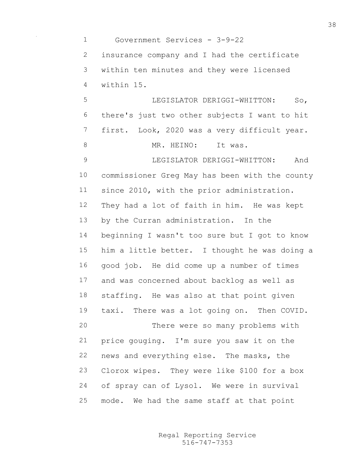Government Services - 3-9-22 insurance company and I had the certificate within ten minutes and they were licensed within 15. LEGISLATOR DERIGGI-WHITTON: So, there's just two other subjects I want to hit first. Look, 2020 was a very difficult year. 8 MR. HEINO: It was. LEGISLATOR DERIGGI-WHITTON: And commissioner Greg May has been with the county since 2010, with the prior administration. They had a lot of faith in him. He was kept by the Curran administration. In the beginning I wasn't too sure but I got to know him a little better. I thought he was doing a good job. He did come up a number of times and was concerned about backlog as well as staffing. He was also at that point given taxi. There was a lot going on. Then COVID. There were so many problems with price gouging. I'm sure you saw it on the news and everything else. The masks, the Clorox wipes. They were like \$100 for a box of spray can of Lysol. We were in survival mode. We had the same staff at that point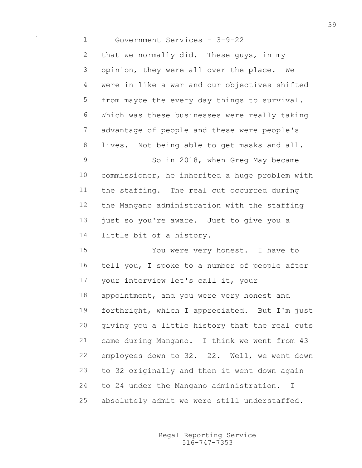Government Services - 3-9-22 2 that we normally did. These quys, in my opinion, they were all over the place. We were in like a war and our objectives shifted from maybe the every day things to survival. Which was these businesses were really taking advantage of people and these were people's lives. Not being able to get masks and all. So in 2018, when Greg May became commissioner, he inherited a huge problem with the staffing. The real cut occurred during the Mangano administration with the staffing 13 just so you're aware. Just to give you a little bit of a history. You were very honest. I have to tell you, I spoke to a number of people after your interview let's call it, your 18 appointment, and you were very honest and forthright, which I appreciated. But I'm just giving you a little history that the real cuts came during Mangano. I think we went from 43 employees down to 32. 22. Well, we went down to 32 originally and then it went down again to 24 under the Mangano administration. I

absolutely admit we were still understaffed.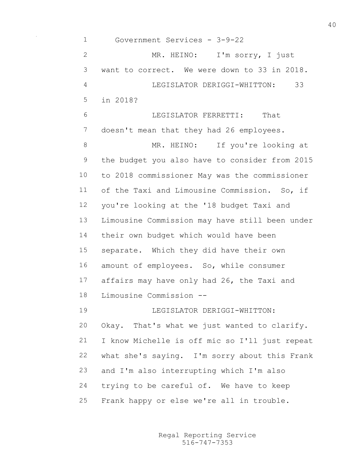Government Services - 3-9-22 MR. HEINO: I'm sorry, I just want to correct. We were down to 33 in 2018. LEGISLATOR DERIGGI-WHITTON: 33 in 2018? LEGISLATOR FERRETTI: That 7 doesn't mean that they had 26 employees. 8 MR. HEINO: If you're looking at the budget you also have to consider from 2015 to 2018 commissioner May was the commissioner of the Taxi and Limousine Commission. So, if you're looking at the '18 budget Taxi and Limousine Commission may have still been under their own budget which would have been separate. Which they did have their own amount of employees. So, while consumer affairs may have only had 26, the Taxi and Limousine Commission -- LEGISLATOR DERIGGI-WHITTON: Okay. That's what we just wanted to clarify. I know Michelle is off mic so I'll just repeat what she's saying. I'm sorry about this Frank and I'm also interrupting which I'm also trying to be careful of. We have to keep Frank happy or else we're all in trouble.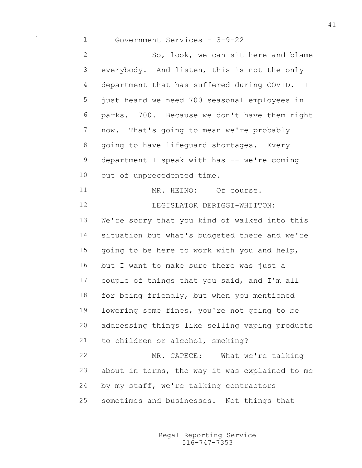Government Services - 3-9-22 So, look, we can sit here and blame everybody. And listen, this is not the only department that has suffered during COVID. I just heard we need 700 seasonal employees in parks. 700. Because we don't have them right now. That's going to mean we're probably 8 going to have lifeguard shortages. Every 9 department I speak with has -- we're coming out of unprecedented time. 11 MR. HEINO: Of course. 12 LEGISLATOR DERIGGI-WHITTON: We're sorry that you kind of walked into this situation but what's budgeted there and we're going to be here to work with you and help, but I want to make sure there was just a couple of things that you said, and I'm all for being friendly, but when you mentioned lowering some fines, you're not going to be addressing things like selling vaping products to children or alcohol, smoking? MR. CAPECE: What we're talking about in terms, the way it was explained to me by my staff, we're talking contractors sometimes and businesses. Not things that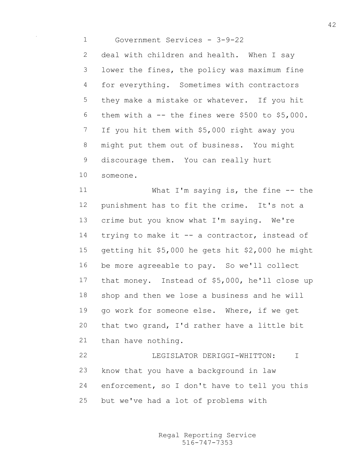Government Services - 3-9-22

2 deal with children and health. When I say lower the fines, the policy was maximum fine for everything. Sometimes with contractors they make a mistake or whatever. If you hit them with a -- the fines were \$500 to \$5,000. If you hit them with \$5,000 right away you might put them out of business. You might discourage them. You can really hurt someone.

11 What I'm saying is, the fine -- the punishment has to fit the crime. It's not a crime but you know what I'm saying. We're 14 trying to make it -- a contractor, instead of getting hit \$5,000 he gets hit \$2,000 he might be more agreeable to pay. So we'll collect that money. Instead of \$5,000, he'll close up shop and then we lose a business and he will go work for someone else. Where, if we get that two grand, I'd rather have a little bit than have nothing.

 LEGISLATOR DERIGGI-WHITTON: I know that you have a background in law enforcement, so I don't have to tell you this but we've had a lot of problems with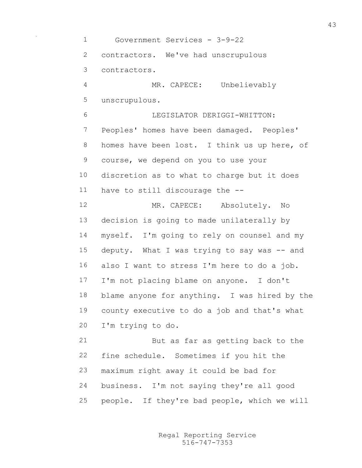Government Services - 3-9-22 contractors. We've had unscrupulous contractors. MR. CAPECE: Unbelievably unscrupulous. LEGISLATOR DERIGGI-WHITTON: Peoples' homes have been damaged. Peoples' homes have been lost. I think us up here, of course, we depend on you to use your discretion as to what to charge but it does have to still discourage the -- MR. CAPECE: Absolutely. No decision is going to made unilaterally by myself. I'm going to rely on counsel and my deputy. What I was trying to say was -- and also I want to stress I'm here to do a job. I'm not placing blame on anyone. I don't blame anyone for anything. I was hired by the county executive to do a job and that's what I'm trying to do. But as far as getting back to the fine schedule. Sometimes if you hit the maximum right away it could be bad for business. I'm not saying they're all good people. If they're bad people, which we will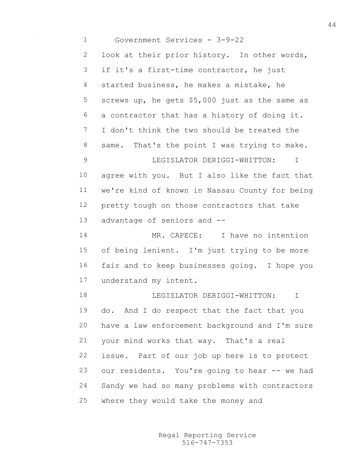Government Services - 3-9-22 look at their prior history. In other words, if it's a first-time contractor, he just started business, he makes a mistake, he screws up, he gets \$5,000 just as the same as a contractor that has a history of doing it. I don't think the two should be treated the 8 same. That's the point I was trying to make. LEGISLATOR DERIGGI-WHITTON: I agree with you. But I also like the fact that we're kind of known in Nassau County for being pretty tough on those contractors that take advantage of seniors and -- MR. CAPECE: I have no intention of being lenient. I'm just trying to be more fair and to keep businesses going. I hope you understand my intent. **I.E.G.T.ST.ATOR DERIGGI-WHITTON:** T do. And I do respect that the fact that you have a law enforcement background and I'm sure your mind works that way. That's a real issue. Part of our job up here is to protect our residents. You're going to hear -- we had Sandy we had so many problems with contractors where they would take the money and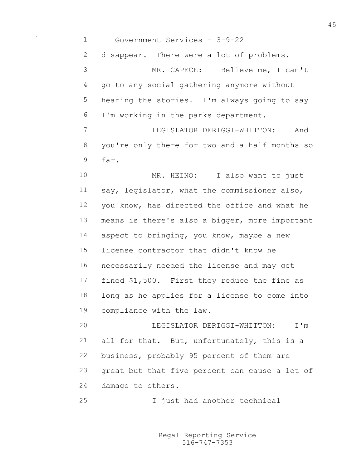Government Services - 3-9-22

2 disappear. There were a lot of problems.

 MR. CAPECE: Believe me, I can't go to any social gathering anymore without hearing the stories. I'm always going to say I'm working in the parks department.

 LEGISLATOR DERIGGI-WHITTON: And you're only there for two and a half months so far.

10 MR. HEINO: I also want to just say, legislator, what the commissioner also, you know, has directed the office and what he means is there's also a bigger, more important 14 aspect to bringing, you know, maybe a new license contractor that didn't know he necessarily needed the license and may get fined \$1,500. First they reduce the fine as long as he applies for a license to come into compliance with the law.

 LEGISLATOR DERIGGI-WHITTON: I'm all for that. But, unfortunately, this is a business, probably 95 percent of them are great but that five percent can cause a lot of damage to others.

I just had another technical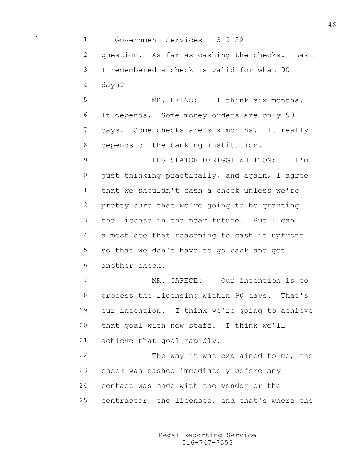Government Services - 3-9-22 question. As far as cashing the checks. Last I remembered a check is valid for what 90 days? MR. HEINO: I think six months. It depends. Some money orders are only 90 days. Some checks are six months. It really depends on the banking institution. LEGISLATOR DERIGGI-WHITTON: I'm just thinking practically, and again, I agree that we shouldn't cash a check unless we're pretty sure that we're going to be granting the license in the near future. But I can almost see that reasoning to cash it upfront so that we don't have to go back and get another check. MR. CAPECE: Our intention is to process the licensing within 90 days. That's our intention. I think we're going to achieve that goal with new staff. I think we'll achieve that goal rapidly. 22 The way it was explained to me, the check was cashed immediately before any contact was made with the vendor or the

contractor, the licensee, and that's where the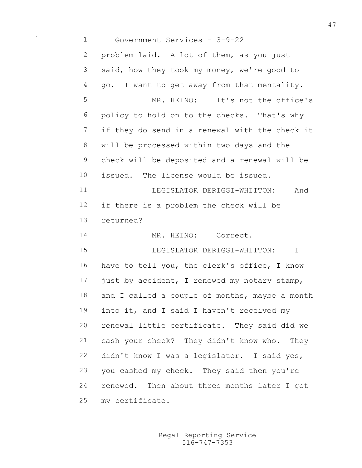Government Services - 3-9-22 problem laid. A lot of them, as you just said, how they took my money, we're good to go. I want to get away from that mentality. MR. HEINO: It's not the office's policy to hold on to the checks. That's why if they do send in a renewal with the check it will be processed within two days and the check will be deposited and a renewal will be issued. The license would be issued. 11 LEGISLATOR DERIGGI-WHITTON: And if there is a problem the check will be returned? MR. HEINO: Correct. LEGISLATOR DERIGGI-WHITTON: I have to tell you, the clerk's office, I know 17 just by accident, I renewed my notary stamp, 18 and I called a couple of months, maybe a month into it, and I said I haven't received my renewal little certificate. They said did we cash your check? They didn't know who. They didn't know I was a legislator. I said yes, you cashed my check. They said then you're renewed. Then about three months later I got my certificate.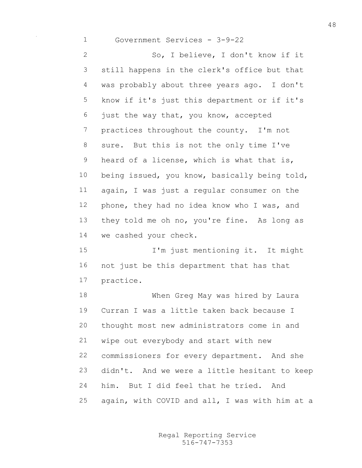Government Services - 3-9-22

 So, I believe, I don't know if it still happens in the clerk's office but that was probably about three years ago. I don't know if it's just this department or if it's just the way that, you know, accepted practices throughout the county. I'm not sure. But this is not the only time I've heard of a license, which is what that is, being issued, you know, basically being told, again, I was just a regular consumer on the phone, they had no idea know who I was, and they told me oh no, you're fine. As long as we cashed your check.

 I'm just mentioning it. It might not just be this department that has that practice.

 When Greg May was hired by Laura Curran I was a little taken back because I thought most new administrators come in and wipe out everybody and start with new commissioners for every department. And she didn't. And we were a little hesitant to keep him. But I did feel that he tried. And again, with COVID and all, I was with him at a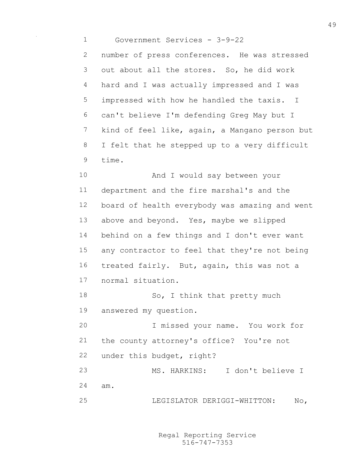Government Services - 3-9-22 number of press conferences. He was stressed out about all the stores. So, he did work hard and I was actually impressed and I was impressed with how he handled the taxis. I can't believe I'm defending Greg May but I kind of feel like, again, a Mangano person but I felt that he stepped up to a very difficult time.

 And I would say between your department and the fire marshal's and the board of health everybody was amazing and went above and beyond. Yes, maybe we slipped behind on a few things and I don't ever want any contractor to feel that they're not being treated fairly. But, again, this was not a normal situation. 18 So, I think that pretty much answered my question. I missed your name. You work for the county attorney's office? You're not

under this budget, right?

 MS. HARKINS: I don't believe I am. LEGISLATOR DERIGGI-WHITTON: No,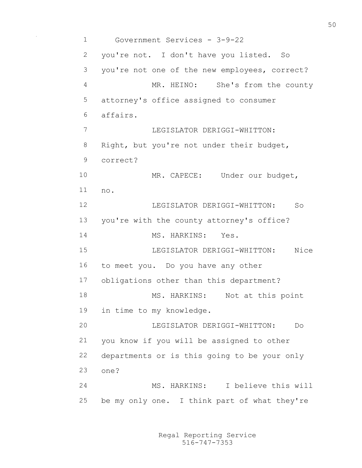Government Services - 3-9-22 you're not. I don't have you listed. So you're not one of the new employees, correct? MR. HEINO: She's from the county attorney's office assigned to consumer affairs. LEGISLATOR DERIGGI-WHITTON: 8 Right, but you're not under their budget, correct? 10 MR. CAPECE: Under our budget, no. LEGISLATOR DERIGGI-WHITTON: So you're with the county attorney's office? MS. HARKINS: Yes. LEGISLATOR DERIGGI-WHITTON: Nice to meet you. Do you have any other obligations other than this department? 18 MS. HARKINS: Not at this point in time to my knowledge. LEGISLATOR DERIGGI-WHITTON: Do you know if you will be assigned to other departments or is this going to be your only one? MS. HARKINS: I believe this will be my only one. I think part of what they're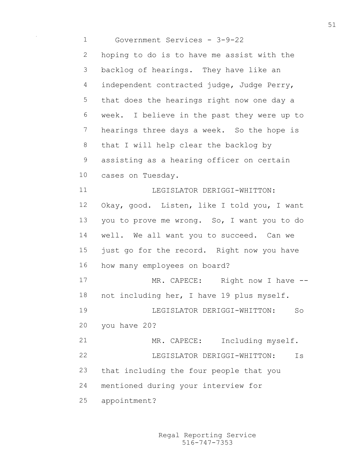Government Services - 3-9-22 hoping to do is to have me assist with the backlog of hearings. They have like an 4 independent contracted judge, Judge Perry, that does the hearings right now one day a week. I believe in the past they were up to hearings three days a week. So the hope is that I will help clear the backlog by assisting as a hearing officer on certain cases on Tuesday. LEGISLATOR DERIGGI-WHITTON: Okay, good. Listen, like I told you, I want you to prove me wrong. So, I want you to do well. We all want you to succeed. Can we just go for the record. Right now you have how many employees on board? 17 MR. CAPECE: Right now I have --18 not including her, I have 19 plus myself. LEGISLATOR DERIGGI-WHITTON: So you have 20? MR. CAPECE: Including myself. LEGISLATOR DERIGGI-WHITTON: Is that including the four people that you mentioned during your interview for appointment?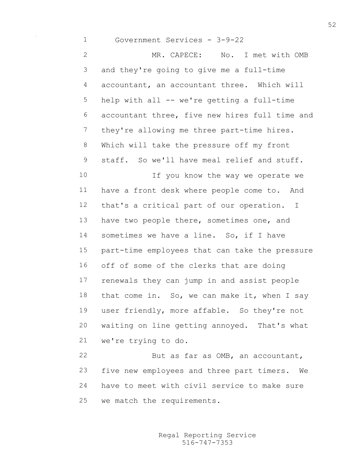Government Services - 3-9-22 MR. CAPECE: No. I met with OMB and they're going to give me a full-time accountant, an accountant three. Which will help with all -- we're getting a full-time accountant three, five new hires full time and they're allowing me three part-time hires. Which will take the pressure off my front staff. So we'll have meal relief and stuff. 10 10 If you know the way we operate we have a front desk where people come to. And that's a critical part of our operation. I 13 have two people there, sometimes one, and sometimes we have a line. So, if I have part-time employees that can take the pressure off of some of the clerks that are doing renewals they can jump in and assist people 18 that come in. So, we can make it, when I say user friendly, more affable. So they're not waiting on line getting annoyed. That's what we're trying to do. But as far as OMB, an accountant,

 five new employees and three part timers. We have to meet with civil service to make sure we match the requirements.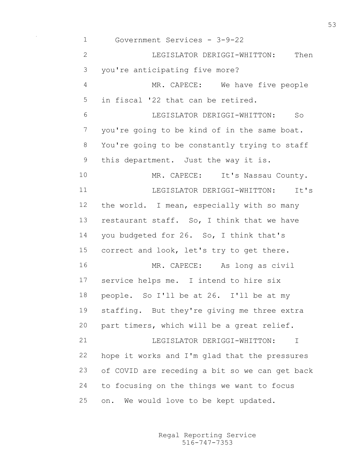Government Services - 3-9-22 LEGISLATOR DERIGGI-WHITTON: Then you're anticipating five more? MR. CAPECE: We have five people in fiscal '22 that can be retired. LEGISLATOR DERIGGI-WHITTON: So you're going to be kind of in the same boat. You're going to be constantly trying to staff this department. Just the way it is. 10 MR. CAPECE: It's Nassau County. LEGISLATOR DERIGGI-WHITTON: It's the world. I mean, especially with so many restaurant staff. So, I think that we have you budgeted for 26. So, I think that's correct and look, let's try to get there. MR. CAPECE: As long as civil service helps me. I intend to hire six people. So I'll be at 26. I'll be at my staffing. But they're giving me three extra part timers, which will be a great relief. **LEGISLATOR DERIGGI-WHITTON:** I hope it works and I'm glad that the pressures of COVID are receding a bit so we can get back to focusing on the things we want to focus on. We would love to be kept updated.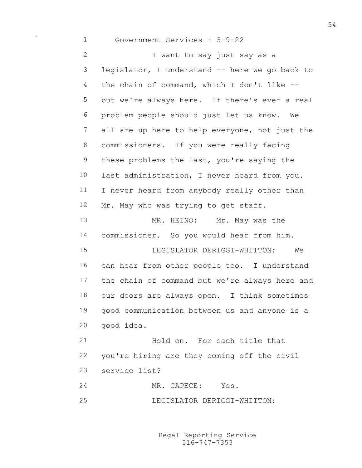Government Services - 3-9-22 I want to say just say as a legislator, I understand -- here we go back to the chain of command, which I don't like -- but we're always here. If there's ever a real problem people should just let us know. We all are up here to help everyone, not just the commissioners. If you were really facing these problems the last, you're saying the 10 last administration, I never heard from you. I never heard from anybody really other than Mr. May who was trying to get staff. 13 MR. HEINO: Mr. May was the commissioner. So you would hear from him. LEGISLATOR DERIGGI-WHITTON: We can hear from other people too. I understand the chain of command but we're always here and our doors are always open. I think sometimes good communication between us and anyone is a good idea. Hold on. For each title that you're hiring are they coming off the civil service list? 24 MR. CAPECE: Yes.

LEGISLATOR DERIGGI-WHITTON: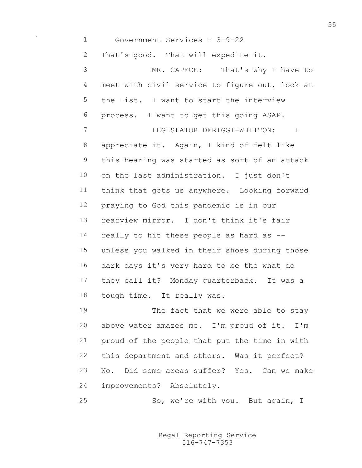Government Services - 3-9-22

That's good. That will expedite it.

 MR. CAPECE: That's why I have to meet with civil service to figure out, look at the list. I want to start the interview process. I want to get this going ASAP. LEGISLATOR DERIGGI-WHITTON: I appreciate it. Again, I kind of felt like this hearing was started as sort of an attack on the last administration. I just don't think that gets us anywhere. Looking forward praying to God this pandemic is in our rearview mirror. I don't think it's fair really to hit these people as hard as -- unless you walked in their shoes during those dark days it's very hard to be the what do they call it? Monday quarterback. It was a tough time. It really was. 19 The fact that we were able to stay above water amazes me. I'm proud of it. I'm proud of the people that put the time in with this department and others. Was it perfect?

 No. Did some areas suffer? Yes. Can we make improvements? Absolutely.

So, we're with you. But again, I

516-747-7353 Regal Reporting Service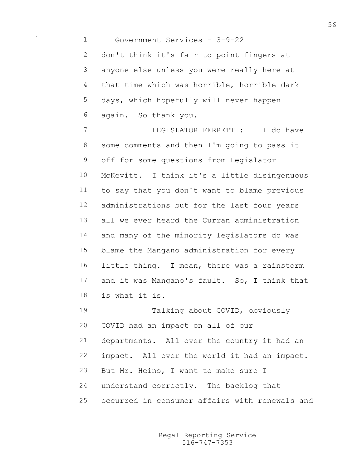Government Services - 3-9-22 don't think it's fair to point fingers at anyone else unless you were really here at that time which was horrible, horrible dark days, which hopefully will never happen again. So thank you. LEGISLATOR FERRETTI: I do have some comments and then I'm going to pass it off for some questions from Legislator McKevitt. I think it's a little disingenuous to say that you don't want to blame previous administrations but for the last four years all we ever heard the Curran administration and many of the minority legislators do was blame the Mangano administration for every little thing. I mean, there was a rainstorm and it was Mangano's fault. So, I think that is what it is. Talking about COVID, obviously COVID had an impact on all of our departments. All over the country it had an impact. All over the world it had an impact. But Mr. Heino, I want to make sure I

- understand correctly. The backlog that
- occurred in consumer affairs with renewals and

516-747-7353 Regal Reporting Service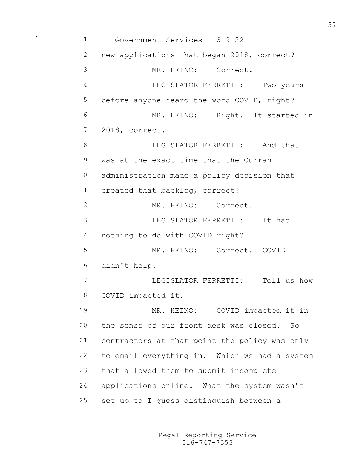Government Services - 3-9-22 new applications that began 2018, correct? MR. HEINO: Correct. LEGISLATOR FERRETTI: Two years before anyone heard the word COVID, right? MR. HEINO: Right. It started in 2018, correct. **BEGISLATOR FERRETTI:** And that was at the exact time that the Curran administration made a policy decision that created that backlog, correct? MR. HEINO: Correct. LEGISLATOR FERRETTI: It had nothing to do with COVID right? MR. HEINO: Correct. COVID didn't help. LEGISLATOR FERRETTI: Tell us how COVID impacted it. MR. HEINO: COVID impacted it in the sense of our front desk was closed. So contractors at that point the policy was only to email everything in. Which we had a system that allowed them to submit incomplete applications online. What the system wasn't set up to I guess distinguish between a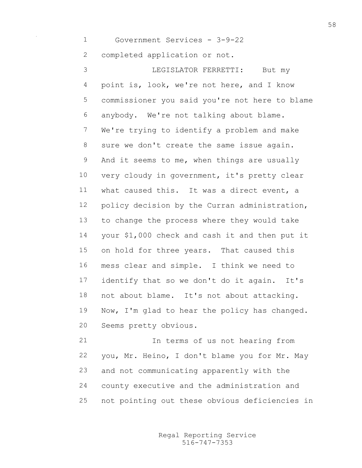Government Services - 3-9-22

completed application or not.

 LEGISLATOR FERRETTI: But my point is, look, we're not here, and I know commissioner you said you're not here to blame anybody. We're not talking about blame. We're trying to identify a problem and make sure we don't create the same issue again. 9 And it seems to me, when things are usually 10 very cloudy in government, it's pretty clear what caused this. It was a direct event, a policy decision by the Curran administration, to change the process where they would take your \$1,000 check and cash it and then put it on hold for three years. That caused this mess clear and simple. I think we need to identify that so we don't do it again. It's not about blame. It's not about attacking. Now, I'm glad to hear the policy has changed. Seems pretty obvious.

 In terms of us not hearing from you, Mr. Heino, I don't blame you for Mr. May and not communicating apparently with the county executive and the administration and not pointing out these obvious deficiencies in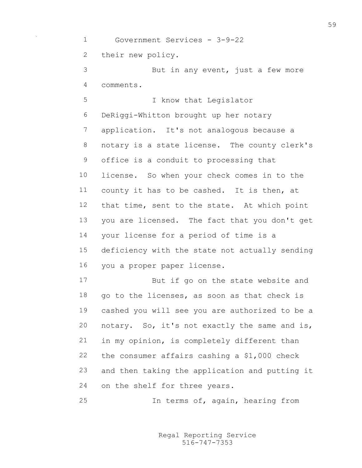Government Services - 3-9-22 their new policy. But in any event, just a few more comments. I know that Legislator DeRiggi-Whitton brought up her notary application. It's not analogous because a notary is a state license. The county clerk's office is a conduit to processing that license. So when your check comes in to the county it has to be cashed. It is then, at that time, sent to the state. At which point you are licensed. The fact that you don't get your license for a period of time is a deficiency with the state not actually sending you a proper paper license. But if go on the state website and go to the licenses, as soon as that check is cashed you will see you are authorized to be a notary. So, it's not exactly the same and is, in my opinion, is completely different than the consumer affairs cashing a \$1,000 check and then taking the application and putting it on the shelf for three years. In terms of, again, hearing from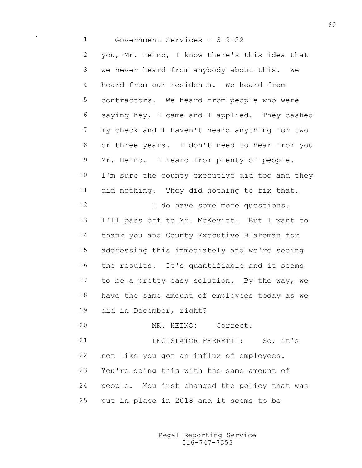Government Services - 3-9-22 you, Mr. Heino, I know there's this idea that

 we never heard from anybody about this. We heard from our residents. We heard from contractors. We heard from people who were saying hey, I came and I applied. They cashed my check and I haven't heard anything for two or three years. I don't need to hear from you 9 Mr. Heino. I heard from plenty of people. 10 I'm sure the county executive did too and they did nothing. They did nothing to fix that. 12 I do have some more questions. I'll pass off to Mr. McKevitt. But I want to thank you and County Executive Blakeman for addressing this immediately and we're seeing

 the results. It's quantifiable and it seems to be a pretty easy solution. By the way, we have the same amount of employees today as we did in December, right?

MR. HEINO: Correct.

 LEGISLATOR FERRETTI: So, it's not like you got an influx of employees. You're doing this with the same amount of people. You just changed the policy that was put in place in 2018 and it seems to be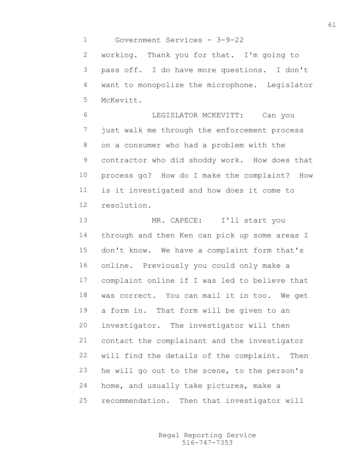Government Services - 3-9-22

 working. Thank you for that. I'm going to pass off. I do have more questions. I don't want to monopolize the microphone. Legislator McKevitt.

 LEGISLATOR MCKEVITT: Can you just walk me through the enforcement process on a consumer who had a problem with the contractor who did shoddy work. How does that process go? How do I make the complaint? How is it investigated and how does it come to resolution.

13 MR. CAPECE: I'll start you through and then Ken can pick up some areas I don't know. We have a complaint form that's online. Previously you could only make a complaint online if I was led to believe that was correct. You can mail it in too. We get a form in. That form will be given to an investigator. The investigator will then contact the complainant and the investigator will find the details of the complaint. Then he will go out to the scene, to the person's home, and usually take pictures, make a recommendation. Then that investigator will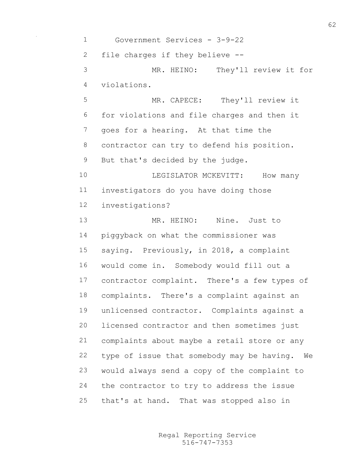Government Services - 3-9-22 file charges if they believe -- MR. HEINO: They'll review it for violations. MR. CAPECE: They'll review it for violations and file charges and then it goes for a hearing. At that time the contractor can try to defend his position. But that's decided by the judge. 10 LEGISLATOR MCKEVITT: How many investigators do you have doing those investigations? MR. HEINO: Nine. Just to piggyback on what the commissioner was saying. Previously, in 2018, a complaint would come in. Somebody would fill out a contractor complaint. There's a few types of complaints. There's a complaint against an unlicensed contractor. Complaints against a licensed contractor and then sometimes just complaints about maybe a retail store or any type of issue that somebody may be having. We would always send a copy of the complaint to the contractor to try to address the issue that's at hand. That was stopped also in

> 516-747-7353 Regal Reporting Service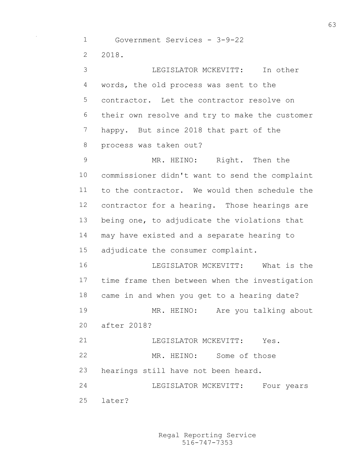Government Services - 3-9-22 2018.

 LEGISLATOR MCKEVITT: In other words, the old process was sent to the contractor. Let the contractor resolve on their own resolve and try to make the customer happy. But since 2018 that part of the process was taken out? MR. HEINO: Right. Then the commissioner didn't want to send the complaint to the contractor. We would then schedule the contractor for a hearing. Those hearings are being one, to adjudicate the violations that may have existed and a separate hearing to adjudicate the consumer complaint. LEGISLATOR MCKEVITT: What is the time frame then between when the investigation came in and when you get to a hearing date? MR. HEINO: Are you talking about after 2018? LEGISLATOR MCKEVITT: Yes. MR. HEINO: Some of those hearings still have not been heard. LEGISLATOR MCKEVITT: Four years

later?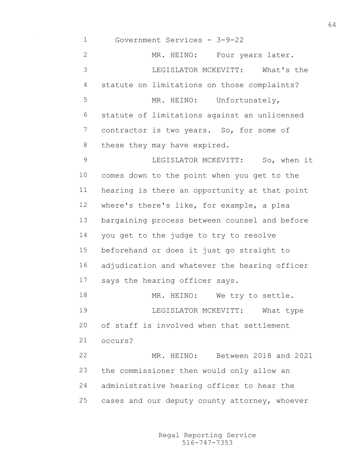Government Services - 3-9-22 2 MR. HEINO: Four years later. LEGISLATOR MCKEVITT: What's the statute on limitations on those complaints? 5 MR. HEINO: Unfortunately, statute of limitations against an unlicensed 7 contractor is two years. So, for some of 8 these they may have expired. LEGISLATOR MCKEVITT: So, when it comes down to the point when you get to the hearing is there an opportunity at that point where's there's like, for example, a plea bargaining process between counsel and before you get to the judge to try to resolve beforehand or does it just go straight to adjudication and whatever the hearing officer says the hearing officer says. 18 MR. HEINO: We try to settle. LEGISLATOR MCKEVITT: What type of staff is involved when that settlement occurs? MR. HEINO: Between 2018 and 2021 the commissioner then would only allow an administrative hearing officer to hear the cases and our deputy county attorney, whoever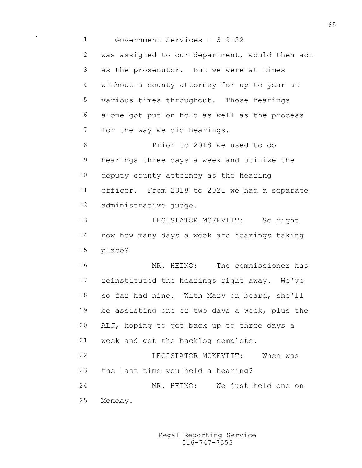Government Services - 3-9-22 was assigned to our department, would then act as the prosecutor. But we were at times without a county attorney for up to year at various times throughout. Those hearings alone got put on hold as well as the process for the way we did hearings. Prior to 2018 we used to do hearings three days a week and utilize the deputy county attorney as the hearing officer. From 2018 to 2021 we had a separate administrative judge. 13 LEGISLATOR MCKEVITT: So right now how many days a week are hearings taking place? MR. HEINO: The commissioner has reinstituted the hearings right away. We've so far had nine. With Mary on board, she'll be assisting one or two days a week, plus the ALJ, hoping to get back up to three days a week and get the backlog complete. LEGISLATOR MCKEVITT: When was the last time you held a hearing? MR. HEINO: We just held one on Monday.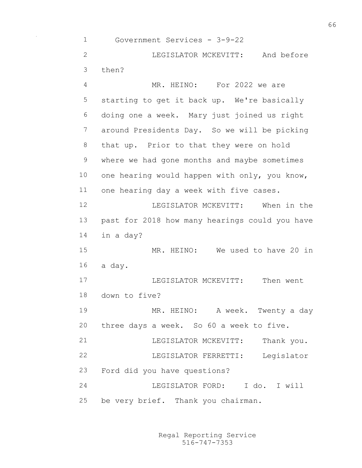Government Services - 3-9-22 LEGISLATOR MCKEVITT: And before then? MR. HEINO: For 2022 we are starting to get it back up. We're basically doing one a week. Mary just joined us right around Presidents Day. So we will be picking that up. Prior to that they were on hold where we had gone months and maybe sometimes one hearing would happen with only, you know, one hearing day a week with five cases. LEGISLATOR MCKEVITT: When in the past for 2018 how many hearings could you have in a day? MR. HEINO: We used to have 20 in a day. LEGISLATOR MCKEVITT: Then went down to five? MR. HEINO: A week. Twenty a day three days a week. So 60 a week to five. 21 LEGISLATOR MCKEVITT: Thank you. LEGISLATOR FERRETTI: Legislator Ford did you have questions? LEGISLATOR FORD: I do. I will be very brief. Thank you chairman.

> 516-747-7353 Regal Reporting Service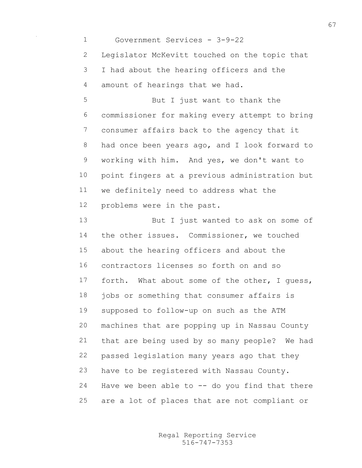Government Services - 3-9-22 Legislator McKevitt touched on the topic that I had about the hearing officers and the amount of hearings that we had.

 But I just want to thank the commissioner for making every attempt to bring consumer affairs back to the agency that it had once been years ago, and I look forward to working with him. And yes, we don't want to point fingers at a previous administration but we definitely need to address what the problems were in the past.

13 But I just wanted to ask on some of the other issues. Commissioner, we touched about the hearing officers and about the contractors licenses so forth on and so forth. What about some of the other, I guess, jobs or something that consumer affairs is supposed to follow-up on such as the ATM machines that are popping up in Nassau County that are being used by so many people? We had passed legislation many years ago that they have to be registered with Nassau County. 24 Have we been able to  $-$ - do you find that there are a lot of places that are not compliant or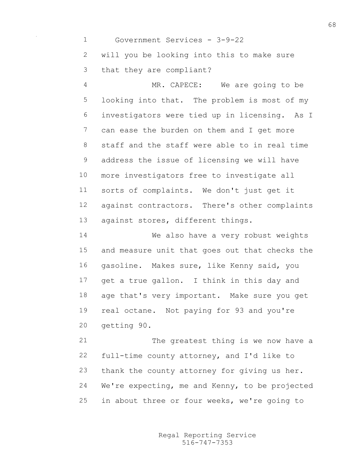Government Services - 3-9-22 will you be looking into this to make sure that they are compliant? MR. CAPECE: We are going to be looking into that. The problem is most of my investigators were tied up in licensing. As I 7 can ease the burden on them and I get more staff and the staff were able to in real time address the issue of licensing we will have more investigators free to investigate all sorts of complaints. We don't just get it against contractors. There's other complaints against stores, different things. We also have a very robust weights

 and measure unit that goes out that checks the gasoline. Makes sure, like Kenny said, you get a true gallon. I think in this day and age that's very important. Make sure you get real octane. Not paying for 93 and you're getting 90.

 The greatest thing is we now have a full-time county attorney, and I'd like to thank the county attorney for giving us her. We're expecting, me and Kenny, to be projected in about three or four weeks, we're going to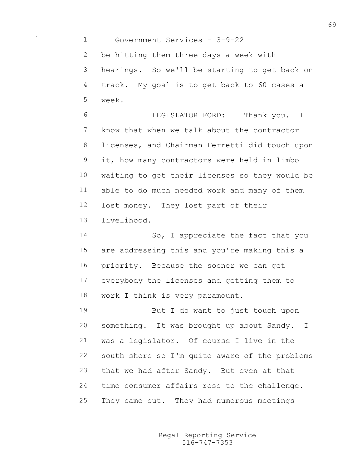Government Services - 3-9-22 be hitting them three days a week with hearings. So we'll be starting to get back on track. My goal is to get back to 60 cases a week.

 LEGISLATOR FORD: Thank you. I know that when we talk about the contractor licenses, and Chairman Ferretti did touch upon it, how many contractors were held in limbo waiting to get their licenses so they would be able to do much needed work and many of them lost money. They lost part of their livelihood.

14 So, I appreciate the fact that you are addressing this and you're making this a priority. Because the sooner we can get everybody the licenses and getting them to work I think is very paramount.

 But I do want to just touch upon something. It was brought up about Sandy. I was a legislator. Of course I live in the south shore so I'm quite aware of the problems that we had after Sandy. But even at that time consumer affairs rose to the challenge. They came out. They had numerous meetings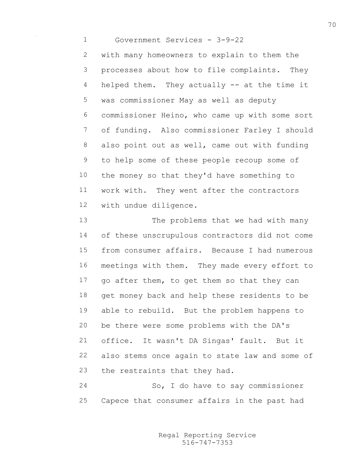Government Services - 3-9-22

 with many homeowners to explain to them the processes about how to file complaints. They helped them. They actually -- at the time it was commissioner May as well as deputy commissioner Heino, who came up with some sort of funding. Also commissioner Farley I should also point out as well, came out with funding to help some of these people recoup some of the money so that they'd have something to work with. They went after the contractors with undue diligence.

 The problems that we had with many of these unscrupulous contractors did not come from consumer affairs. Because I had numerous meetings with them. They made every effort to go after them, to get them so that they can get money back and help these residents to be able to rebuild. But the problem happens to be there were some problems with the DA's office. It wasn't DA Singas' fault. But it also stems once again to state law and some of the restraints that they had.

 So, I do have to say commissioner Capece that consumer affairs in the past had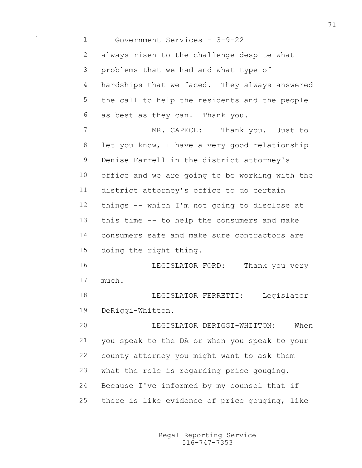Government Services - 3-9-22 always risen to the challenge despite what problems that we had and what type of hardships that we faced. They always answered the call to help the residents and the people as best as they can. Thank you. 7 MR. CAPECE: Thank you. Just to 8 let you know, I have a very good relationship Denise Farrell in the district attorney's office and we are going to be working with the district attorney's office to do certain things -- which I'm not going to disclose at this time -- to help the consumers and make consumers safe and make sure contractors are doing the right thing. 16 LEGISLATOR FORD: Thank you very much. LEGISLATOR FERRETTI: Legislator DeRiggi-Whitton. LEGISLATOR DERIGGI-WHITTON: When you speak to the DA or when you speak to your county attorney you might want to ask them what the role is regarding price gouging. Because I've informed by my counsel that if there is like evidence of price gouging, like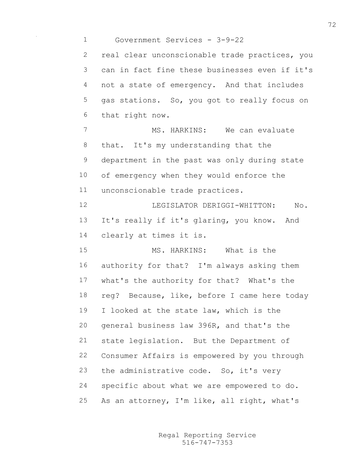Government Services - 3-9-22 real clear unconscionable trade practices, you can in fact fine these businesses even if it's not a state of emergency. And that includes gas stations. So, you got to really focus on that right now. 7 MS. HARKINS: We can evaluate that. It's my understanding that the department in the past was only during state of emergency when they would enforce the unconscionable trade practices. LEGISLATOR DERIGGI-WHITTON: No. It's really if it's glaring, you know. And clearly at times it is. MS. HARKINS: What is the authority for that? I'm always asking them what's the authority for that? What's the reg? Because, like, before I came here today I looked at the state law, which is the general business law 396R, and that's the state legislation. But the Department of Consumer Affairs is empowered by you through 23 the administrative code. So, it's very specific about what we are empowered to do. As an attorney, I'm like, all right, what's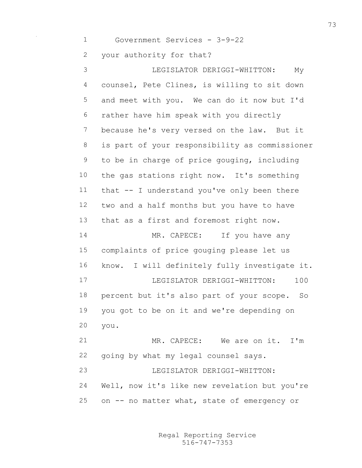Government Services - 3-9-22 your authority for that? LEGISLATOR DERIGGI-WHITTON: My counsel, Pete Clines, is willing to sit down and meet with you. We can do it now but I'd rather have him speak with you directly because he's very versed on the law. But it is part of your responsibility as commissioner to be in charge of price gouging, including the gas stations right now. It's something that -- I understand you've only been there two and a half months but you have to have that as a first and foremost right now. 14 MR. CAPECE: If you have any complaints of price gouging please let us know. I will definitely fully investigate it. LEGISLATOR DERIGGI-WHITTON: 100 percent but it's also part of your scope. So you got to be on it and we're depending on you. MR. CAPECE: We are on it. I'm going by what my legal counsel says. LEGISLATOR DERIGGI-WHITTON: Well, now it's like new revelation but you're on -- no matter what, state of emergency or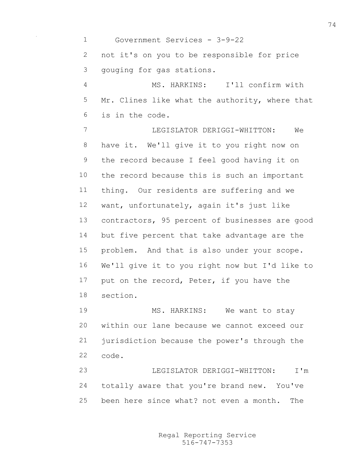Government Services - 3-9-22 not it's on you to be responsible for price gouging for gas stations. MS. HARKINS: I'll confirm with 5 Mr. Clines like what the authority, where that is in the code. LEGISLATOR DERIGGI-WHITTON: We have it. We'll give it to you right now on the record because I feel good having it on the record because this is such an important thing. Our residents are suffering and we want, unfortunately, again it's just like contractors, 95 percent of businesses are good but five percent that take advantage are the problem. And that is also under your scope. We'll give it to you right now but I'd like to 17 put on the record, Peter, if you have the section. 19 MS. HARKINS: We want to stay within our lane because we cannot exceed our jurisdiction because the power's through the code. LEGISLATOR DERIGGI-WHITTON: I'm totally aware that you're brand new. You've

> 516-747-7353 Regal Reporting Service

been here since what? not even a month. The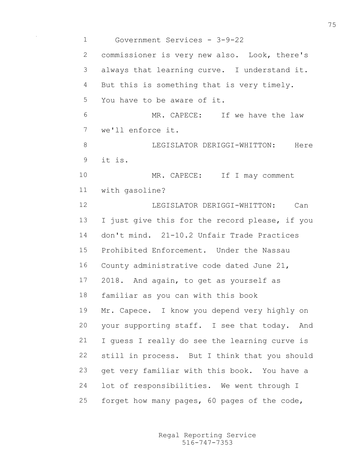Government Services - 3-9-22 commissioner is very new also. Look, there's always that learning curve. I understand it. 4 But this is something that is very timely. You have to be aware of it. MR. CAPECE: If we have the law we'll enforce it. 8 LEGISLATOR DERIGGI-WHITTON: Here it is. 10 MR. CAPECE: If I may comment with gasoline? LEGISLATOR DERIGGI-WHITTON: Can I just give this for the record please, if you don't mind. 21-10.2 Unfair Trade Practices Prohibited Enforcement. Under the Nassau County administrative code dated June 21, 2018. And again, to get as yourself as familiar as you can with this book Mr. Capece. I know you depend very highly on your supporting staff. I see that today. And I guess I really do see the learning curve is still in process. But I think that you should get very familiar with this book. You have a lot of responsibilities. We went through I forget how many pages, 60 pages of the code,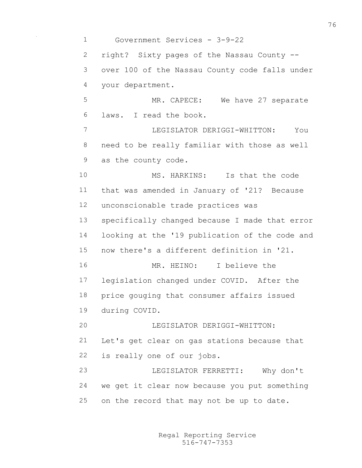Government Services - 3-9-22 right? Sixty pages of the Nassau County -- over 100 of the Nassau County code falls under your department. 5 MR. CAPECE: We have 27 separate laws. I read the book. LEGISLATOR DERIGGI-WHITTON: You need to be really familiar with those as well as the county code. MS. HARKINS: Is that the code that was amended in January of '21? Because unconscionable trade practices was specifically changed because I made that error looking at the '19 publication of the code and now there's a different definition in '21. MR. HEINO: I believe the legislation changed under COVID. After the price gouging that consumer affairs issued during COVID. LEGISLATOR DERIGGI-WHITTON: Let's get clear on gas stations because that is really one of our jobs. LEGISLATOR FERRETTI: Why don't we get it clear now because you put something on the record that may not be up to date.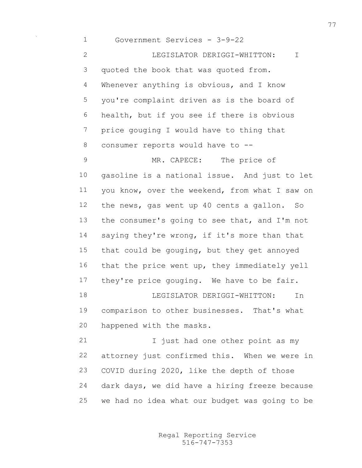Government Services - 3-9-22 LEGISLATOR DERIGGI-WHITTON: I quoted the book that was quoted from. Whenever anything is obvious, and I know you're complaint driven as is the board of health, but if you see if there is obvious price gouging I would have to thing that consumer reports would have to -- MR. CAPECE: The price of gasoline is a national issue. And just to let you know, over the weekend, from what I saw on the news, gas went up 40 cents a gallon. So the consumer's going to see that, and I'm not saying they're wrong, if it's more than that that could be gouging, but they get annoyed that the price went up, they immediately yell 17 they're price gouging. We have to be fair. LEGISLATOR DERIGGI-WHITTON: In comparison to other businesses. That's what happened with the masks. 21 I just had one other point as my attorney just confirmed this. When we were in COVID during 2020, like the depth of those dark days, we did have a hiring freeze because we had no idea what our budget was going to be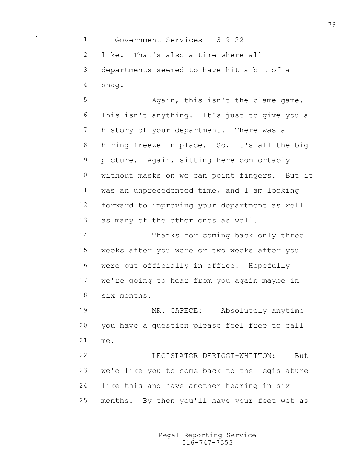Government Services - 3-9-22 like. That's also a time where all departments seemed to have hit a bit of a snag.

 Again, this isn't the blame game. This isn't anything. It's just to give you a history of your department. There was a hiring freeze in place. So, it's all the big picture. Again, sitting here comfortably without masks on we can point fingers. But it was an unprecedented time, and I am looking forward to improving your department as well as many of the other ones as well. Thanks for coming back only three weeks after you were or two weeks after you

 we're going to hear from you again maybe in six months.

were put officially in office. Hopefully

 MR. CAPECE: Absolutely anytime you have a question please feel free to call me.

 LEGISLATOR DERIGGI-WHITTON: But we'd like you to come back to the legislature like this and have another hearing in six months. By then you'll have your feet wet as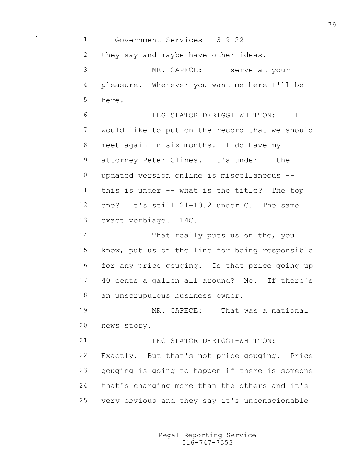Government Services - 3-9-22 they say and maybe have other ideas. MR. CAPECE: I serve at your pleasure. Whenever you want me here I'll be here.

 LEGISLATOR DERIGGI-WHITTON: I would like to put on the record that we should meet again in six months. I do have my 9 attorney Peter Clines. It's under -- the updated version online is miscellaneous -- this is under -- what is the title? The top one? It's still 21-10.2 under C. The same exact verbiage. 14C.

 That really puts us on the, you know, put us on the line for being responsible for any price gouging. Is that price going up 40 cents a gallon all around? No. If there's an unscrupulous business owner.

 MR. CAPECE: That was a national news story.

21 LEGISLATOR DERIGGI-WHITTON: Exactly. But that's not price gouging. Price gouging is going to happen if there is someone that's charging more than the others and it's very obvious and they say it's unconscionable

> 516-747-7353 Regal Reporting Service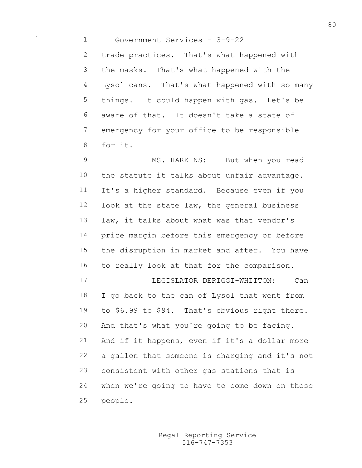Government Services - 3-9-22

 trade practices. That's what happened with the masks. That's what happened with the Lysol cans. That's what happened with so many things. It could happen with gas. Let's be aware of that. It doesn't take a state of emergency for your office to be responsible for it.

 MS. HARKINS: But when you read the statute it talks about unfair advantage. It's a higher standard. Because even if you look at the state law, the general business law, it talks about what was that vendor's price margin before this emergency or before the disruption in market and after. You have to really look at that for the comparison.

 LEGISLATOR DERIGGI-WHITTON: Can I go back to the can of Lysol that went from to \$6.99 to \$94. That's obvious right there. And that's what you're going to be facing. And if it happens, even if it's a dollar more a gallon that someone is charging and it's not consistent with other gas stations that is when we're going to have to come down on these people.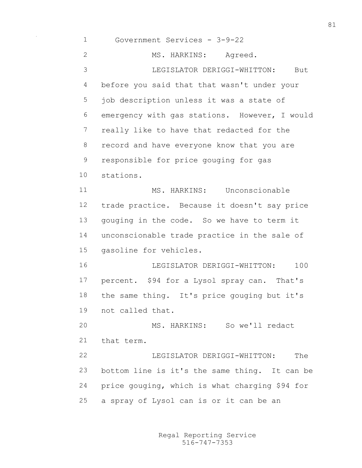Government Services - 3-9-22 2 MS. HARKINS: Agreed. LEGISLATOR DERIGGI-WHITTON: But before you said that that wasn't under your job description unless it was a state of emergency with gas stations. However, I would really like to have that redacted for the record and have everyone know that you are responsible for price gouging for gas stations. MS. HARKINS: Unconscionable trade practice. Because it doesn't say price gouging in the code. So we have to term it unconscionable trade practice in the sale of gasoline for vehicles. LEGISLATOR DERIGGI-WHITTON: 100 percent. \$94 for a Lysol spray can. That's the same thing. It's price gouging but it's not called that. MS. HARKINS: So we'll redact that term. LEGISLATOR DERIGGI-WHITTON: The bottom line is it's the same thing. It can be price gouging, which is what charging \$94 for a spray of Lysol can is or it can be an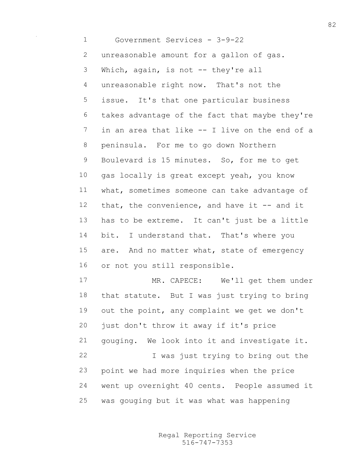Government Services - 3-9-22 unreasonable amount for a gallon of gas. Which, again, is not -- they're all unreasonable right now. That's not the issue. It's that one particular business takes advantage of the fact that maybe they're in an area that like -- I live on the end of a peninsula. For me to go down Northern Boulevard is 15 minutes. So, for me to get 10 gas locally is great except yeah, you know what, sometimes someone can take advantage of 12 that, the convenience, and have it -- and it has to be extreme. It can't just be a little 14 bit. I understand that. That's where you 15 are. And no matter what, state of emergency or not you still responsible. 17 MR. CAPECE: We'll get them under that statute. But I was just trying to bring out the point, any complaint we get we don't just don't throw it away if it's price gouging. We look into it and investigate it.

 I was just trying to bring out the point we had more inquiries when the price went up overnight 40 cents. People assumed it was gouging but it was what was happening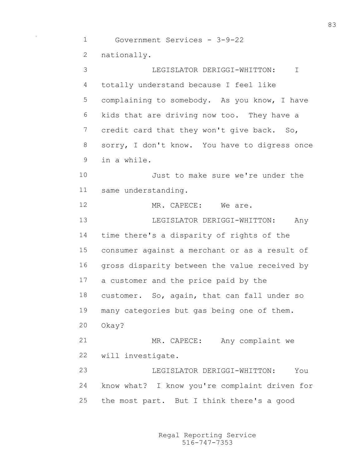Government Services - 3-9-22 nationally. LEGISLATOR DERIGGI-WHITTON: I totally understand because I feel like complaining to somebody. As you know, I have kids that are driving now too. They have a 7 credit card that they won't give back. So, sorry, I don't know. You have to digress once in a while. Just to make sure we're under the same understanding. MR. CAPECE: We are. LEGISLATOR DERIGGI-WHITTON: Any time there's a disparity of rights of the consumer against a merchant or as a result of gross disparity between the value received by a customer and the price paid by the customer. So, again, that can fall under so many categories but gas being one of them. Okay? MR. CAPECE: Any complaint we will investigate. LEGISLATOR DERIGGI-WHITTON: You know what? I know you're complaint driven for the most part. But I think there's a good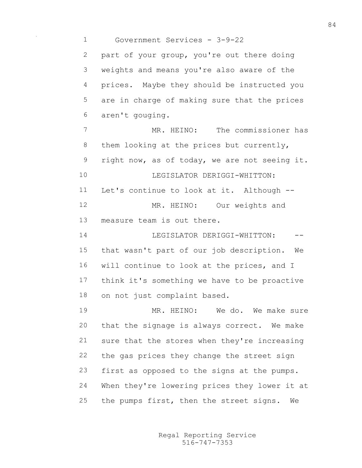Government Services - 3-9-22 part of your group, you're out there doing weights and means you're also aware of the prices. Maybe they should be instructed you are in charge of making sure that the prices aren't gouging. MR. HEINO: The commissioner has 8 them looking at the prices but currently, right now, as of today, we are not seeing it. 10 LEGISLATOR DERIGGI-WHITTON: Let's continue to look at it. Although -- 12 MR. HEINO: Our weights and measure team is out there. **I.EGISLATOR DERIGGI-WHITTON:** -- that wasn't part of our job description. We will continue to look at the prices, and I think it's something we have to be proactive on not just complaint based. MR. HEINO: We do. We make sure that the signage is always correct. We make sure that the stores when they're increasing the gas prices they change the street sign first as opposed to the signs at the pumps. When they're lowering prices they lower it at the pumps first, then the street signs. We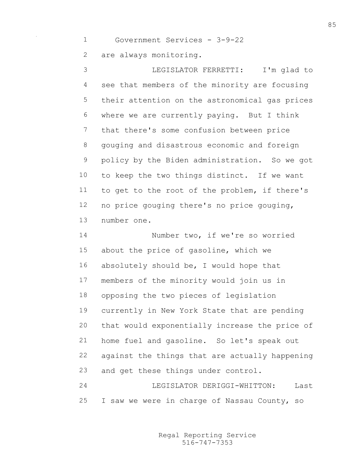Government Services - 3-9-22 are always monitoring.

 LEGISLATOR FERRETTI: I'm glad to see that members of the minority are focusing their attention on the astronomical gas prices where we are currently paying. But I think that there's some confusion between price gouging and disastrous economic and foreign policy by the Biden administration. So we got to keep the two things distinct. If we want to get to the root of the problem, if there's no price gouging there's no price gouging, number one.

 Number two, if we're so worried about the price of gasoline, which we absolutely should be, I would hope that members of the minority would join us in opposing the two pieces of legislation currently in New York State that are pending that would exponentially increase the price of home fuel and gasoline. So let's speak out against the things that are actually happening and get these things under control. LEGISLATOR DERIGGI-WHITTON: Last

I saw we were in charge of Nassau County, so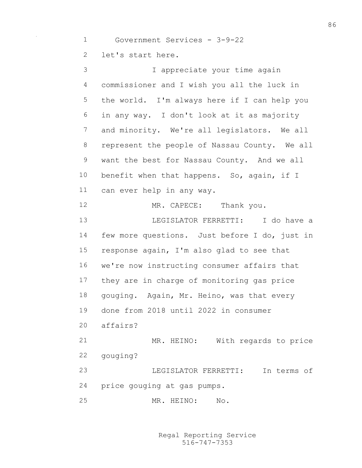Government Services - 3-9-22

let's start here.

 I appreciate your time again commissioner and I wish you all the luck in the world. I'm always here if I can help you in any way. I don't look at it as majority and minority. We're all legislators. We all represent the people of Nassau County. We all want the best for Nassau County. And we all benefit when that happens. So, again, if I can ever help in any way. 12 MR. CAPECE: Thank you. LEGISLATOR FERRETTI: I do have a few more questions. Just before I do, just in response again, I'm also glad to see that we're now instructing consumer affairs that they are in charge of monitoring gas price gouging. Again, Mr. Heino, was that every done from 2018 until 2022 in consumer affairs? MR. HEINO: With regards to price gouging? LEGISLATOR FERRETTI: In terms of price gouging at gas pumps. MR. HEINO: No.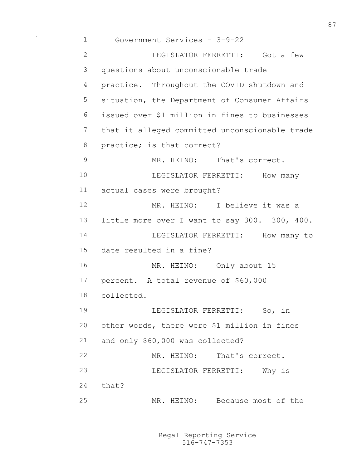Government Services - 3-9-22 LEGISLATOR FERRETTI: Got a few questions about unconscionable trade practice. Throughout the COVID shutdown and situation, the Department of Consumer Affairs issued over \$1 million in fines to businesses that it alleged committed unconscionable trade practice; is that correct? 9 MR. HEINO: That's correct. 10 LEGISLATOR FERRETTI: How many actual cases were brought? MR. HEINO: I believe it was a little more over I want to say 300. 300, 400. 14 LEGISLATOR FERRETTI: How many to date resulted in a fine? MR. HEINO: Only about 15 percent. A total revenue of \$60,000 collected. LEGISLATOR FERRETTI: So, in other words, there were \$1 million in fines and only \$60,000 was collected? MR. HEINO: That's correct. LEGISLATOR FERRETTI: Why is that? MR. HEINO: Because most of the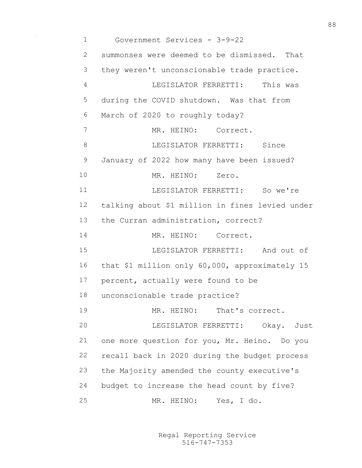Government Services - 3-9-22 summonses were deemed to be dismissed. That they weren't unconscionable trade practice. LEGISLATOR FERRETTI: This was during the COVID shutdown. Was that from March of 2020 to roughly today? MR. HEINO: Correct. 8 LEGISLATOR FERRETTI: Since January of 2022 how many have been issued? 10 MR. HEINO: Zero. LEGISLATOR FERRETTI: So we're talking about \$1 million in fines levied under the Curran administration, correct? MR. HEINO: Correct. LEGISLATOR FERRETTI: And out of that \$1 million only 60,000, approximately 15 percent, actually were found to be unconscionable trade practice? MR. HEINO: That's correct. LEGISLATOR FERRETTI: Okay. Just one more question for you, Mr. Heino. Do you recall back in 2020 during the budget process the Majority amended the county executive's budget to increase the head count by five? MR. HEINO: Yes, I do.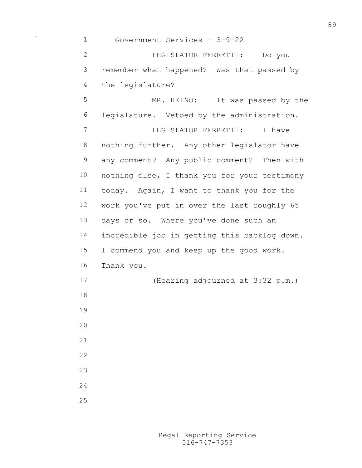Government Services - 3-9-22 LEGISLATOR FERRETTI: Do you remember what happened? Was that passed by the legislature? MR. HEINO: It was passed by the legislature. Vetoed by the administration. LEGISLATOR FERRETTI: I have nothing further. Any other legislator have any comment? Any public comment? Then with nothing else, I thank you for your testimony today. Again, I want to thank you for the work you've put in over the last roughly 65 days or so. Where you've done such an incredible job in getting this backlog down. I commend you and keep up the good work. Thank you. (Hearing adjourned at 3:32 p.m.)